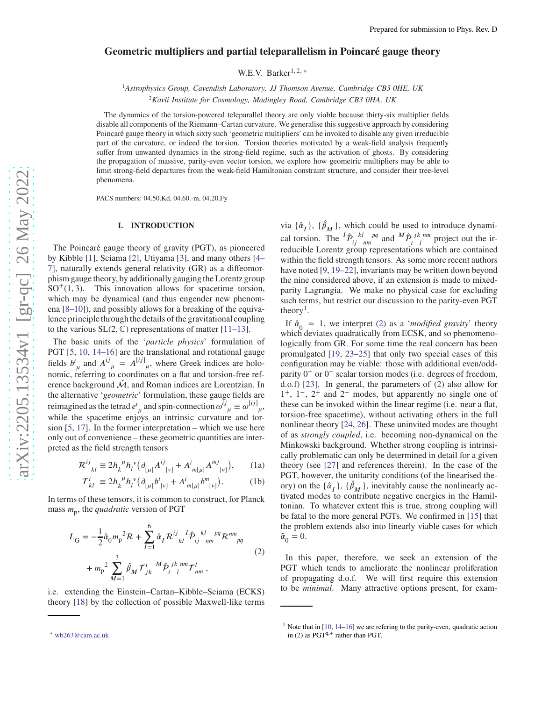# **Geometric multipliers and partial teleparallelism in Poincaré gauge theory**

W.E.V. Barker<sup>1, 2, [∗](#page-0-0)</sup>

<sup>1</sup>*Astrophysics Group, Cavendish Laboratory, JJ Thomson Avenue, Cambridge CB3 0HE, UK*

<sup>2</sup>*Kavli Institute for Cosmology, Madingley Road, Cambridge CB3 0HA, UK*

The dynamics of the torsion-powered teleparallel theory are only viable because thirty-six multiplier fields disable all components of the Riemann–Cartan curvature. We generalise this suggestive approach by considering Poincaré gauge theory in which sixty such 'geometric multipliers' can be invoked to disable any given irreducible part of the curvature, or indeed the torsion. Torsion theories motivated by a weak-field analysis frequently suffer from unwanted dynamics in the strong-field regime, such as the activation of ghosts. By considering the propagation of massive, parity-even vector torsion, we explore how geometric multipliers may be able to limit strong-field departures from the weak-field Hamiltonian constraint structure, and consider their tree-level phenomena.

PACS numbers: 04.50.Kd, 04.60.-m, 04.20.Fy

### **I. INTRODUCTION**

The Poincaré gauge theory of gravity (PGT), as pioneered by Kibble [\[1\]](#page-10-0), Sciama [\[2\]](#page-10-1), Utiyama [\[3\]](#page-10-2), and many others [\[4](#page-10-3)– [7](#page-10-4)], naturally extends general relativity (GR) as a diffeomorphism gauge theory, by additionally gauging the Lorentz group  $SO<sup>+</sup>(1,3)$ . This innovation allows for spacetime torsion, which may be dynamical (and thus engender new phenomena [\[8](#page-10-5)[–10\]](#page-11-0)), and possibly allows for a breaking of the equivalence principle through the details of the gravitational coupling to the various  $SL(2, \mathbb{C})$  representations of matter [\[11](#page-11-1)[–13\]](#page-11-2).

The basic units of the '*particle physics*' formulation of PGT [\[5,](#page-10-6) [10](#page-11-0), [14](#page-11-3)[–16](#page-11-4)] are the translational and rotational gauge fields  $b^i_{\mu}$  and  $A^{ij}_{\mu} = A^{[ij]}_{\mu}$ , where Greek indices are holonomic, referring to coordinates on a flat and torsion-free reference background  $\dot{M}$ , and Roman indices are Lorentzian. In the alternative '*geometric*' formulation, these gauge fields are reimagined as the tetrad  $e^{i}_{\mu}$  and spin-connection  $\omega^{ij}_{\mu} \equiv \omega^{[ij]}_{\mu}$ , while the spacetime enjoys an intrinsic curvature and torsion  $[5, 17]$  $[5, 17]$  $[5, 17]$ . In the former interpretation – which we use here only out of convenience – these geometric quantities are interpreted as the field strength tensors

$$
\mathcal{R}^{ij}_{kl} \equiv 2h_k^{\ \mu}h_l^{\ \nu}\big(\partial_{[\mu|}A^{ij}_{\ |\nu]} + A^i_{\ m[\mu|}A^{mj}_{\ |\nu]}\big),\tag{1a}
$$

$$
\mathcal{T}_{kl}^{i} \equiv 2h_{k}^{\ \mu}h_{l}^{\ \nu}\big(\partial_{[\mu|}b^{i}|_{\nu]} + A^{i}_{m[\mu|}b^{m}|_{\nu]}\big). \tag{1b}
$$

In terms of these tensors, it is common to construct, for Planck mass  $m_p$ , the *quadratic* version of PGT

$$
L_{\rm G} = -\frac{1}{2} \hat{\alpha}_{0} m_{\rm p}^{2} \mathcal{R} + \sum_{I=1}^{6} \hat{\alpha}_{I} \mathcal{R}^{ij}_{kl} \mathcal{I} \hat{\mathcal{P}}_{ij}^{kl}_{nm} \mathcal{P}^{nm}_{pq} + m_{\rm p}^{2} \sum_{M=1}^{3} \hat{\beta}_{M} \mathcal{T}^{i}_{jk} \mathcal{I}^{M}_{ij} \hat{\mathcal{P}}^{j k}_{i} \mathcal{I}^{m}_{nm} ,
$$
 (2)

i.e. extending the Einstein–Cartan–Kibble–Sciama (ECKS) theory [\[18](#page-11-6)] by the collection of possible Maxwell-like terms

<span id="page-0-0"></span><sup>∗</sup> [wb263@cam.ac.uk](mailto:wb263@cam.ac.uk)

via  $\{\hat{\alpha}_I\}$ ,  $\{\hat{\beta}_M\}$ , which could be used to introduce dynamical torsion. The  ${}^{I} \hat{\mathcal{P}}_{ij}^{kl}$  and  ${}^{M} \hat{\mathcal{P}}_{i}^{jk}$  are project out the irreducible Lorentz group representations which are contained within the field strength tensors. As some more recent authors have noted [\[9,](#page-10-7) [19](#page-11-7)[–22](#page-11-8)], invariants may be written down beyond the nine considered above, if an extension is made to mixedparity Lagrangia. We make no physical case for excluding such terms, but restrict our discussion to the parity-even PGT theory<sup>[1](#page-0-1)</sup>.

If  $\hat{a}_0 = 1$ , we interpret [\(2\)](#page-0-2) as a *'modified gravity'* theory which deviates quadratically from ECSK, and so phenomenologically from GR. For some time the real concern has been promulgated [\[19](#page-11-7), [23](#page-11-9)[–25](#page-11-10)] that only two special cases of this configuration may be viable: those with additional even/oddparity  $0^+$  or  $0^-$  scalar torsion modes (i.e. degrees of freedom, d.o.f) [\[23\]](#page-11-9). In general, the parameters of [\(2\)](#page-0-2) also allow for 1<sup>+</sup>, 1<sup>−</sup>, 2<sup>+</sup> and 2<sup>−</sup> modes, but apparently no single one of these can be invoked within the linear regime (i.e. near a flat, torsion-free spacetime), without activating others in the full nonlinear theory [\[24,](#page-11-11) [26\]](#page-11-12). These uninvited modes are thought of as *strongly coupled*, i.e. becoming non-dynamical on the Minkowski background. Whether strong coupling is intrinsically problematic can only be determined in detail for a given theory (see [\[27\]](#page-11-13) and references therein). In the case of the PGT, however, the unitarity conditions (of the linearised theory) on the  $\{\hat{\alpha}_I\}$ ,  $\{\hat{\beta}_M\}$ , inevitably cause the nonlinearly activated modes to contribute negative energies in the Hamiltonian. To whatever extent this is true, strong coupling will be fatal to the more general PGTs. We confirmed in [\[15](#page-11-14)] that the problem extends also into linearly viable cases for which  $\hat{\alpha}_{0} = 0.$ 

<span id="page-0-4"></span><span id="page-0-3"></span><span id="page-0-2"></span>In this paper, therefore, we seek an extension of the PGT which tends to ameliorate the nonlinear proliferation of propagating d.o.f. We will first require this extension to be *minimal*. Many attractive options present, for exam-

<span id="page-0-1"></span><sup>&</sup>lt;sup>1</sup> Note that in  $[10, 14-16]$  $[10, 14-16]$  $[10, 14-16]$  we are refering to the parity-even, quadratic action in [\(2\)](#page-0-2) as  $PGT^{q,+}$  rather than PGT.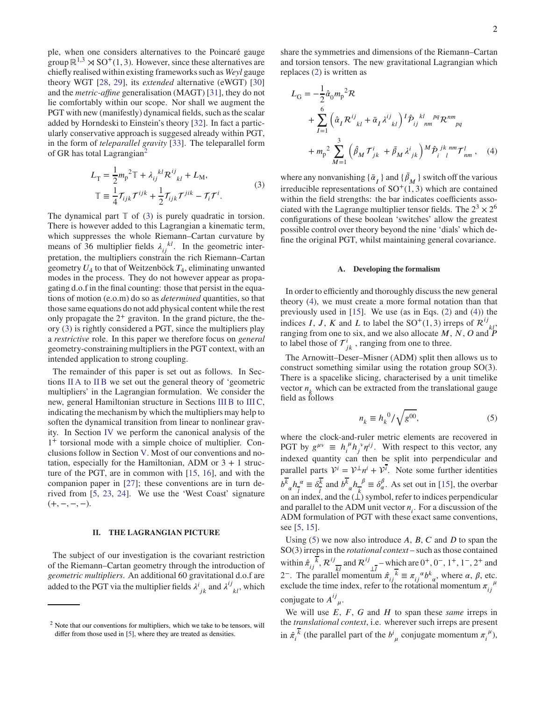ple, when one considers alternatives to the Poincaré gauge group  $\mathbb{R}^{1,3} \rtimes SO^+(1,3)$ . However, since these alternatives are chiefly realised within existing frameworks such as *Weyl* gauge theory WGT [\[28,](#page-11-15) [29](#page-11-16)], its *extended* alternative (eWGT) [\[30\]](#page-11-17) and the *metric-affine* generalisation (MAGT) [\[31\]](#page-11-18), they do not lie comfortably within our scope. Nor shall we augment the PGT with new (manifestly) dynamical fields, such as the scalar added by Horndeski to Einstein's theory [\[32](#page-11-19)]. In fact a particularly conservative approach is suggesed already within PGT, in the form of *teleparallel gravity* [\[33\]](#page-11-20). The teleparallel form of GR has total Lagrangian<sup>[2](#page-1-0)</sup>

<span id="page-1-1"></span>
$$
L_{\rm T} = \frac{1}{2} m_{\rm p}^{2} \mathbb{T} + \lambda_{ij}^{kl} \mathcal{R}^{ij}_{kl} + L_{\rm M},
$$
  

$$
\mathbb{T} \equiv \frac{1}{4} \mathcal{T}_{ijk} \mathcal{T}^{ijk} + \frac{1}{2} \mathcal{T}_{ijk} \mathcal{T}^{jik} - \mathcal{T}_{i} \mathcal{T}^{i}.
$$
 (3)

The dynamical part  $\mathbb T$  of [\(3\)](#page-1-1) is purely quadratic in torsion. There is however added to this Lagrangian a kinematic term, which suppresses the whole Riemann–Cartan curvature by means of 36 multiplier fields  $\lambda_{ij}^{kl}$ . In the geometric interpretation, the multipliers constrain the rich Riemann–Cartan geometry *𝑈*<sup>4</sup> to that of Weitzenböck *𝑇*<sup>4</sup> , eliminating unwanted modes in the process. They do not however appear as propagating d.o.f in the final counting: those that persist in the equations of motion (e.o.m) do so as *determined* quantities, so that those same equations do not add physical content while the rest only propagate the  $2^+$  graviton. In the grand picture, the theory [\(3\)](#page-1-1) is rightly considered a PGT, since the multipliers play a *restrictive* role. In this paper we therefore focus on *general* geometry-constraining multipliers in the PGT context, with an intended application to strong coupling.

The remainder of this paper is set out as follows. In Sections [II A](#page-1-2) to [II B](#page-2-0) we set out the general theory of 'geometric multipliers' in the Lagrangian formulation. We consider the new, general Hamiltonian structure in Sections [III B](#page-4-0) to [III C,](#page-6-0) indicating the mechanism by which the multipliers may help to soften the dynamical transition from linear to nonlinear gravity. In Section [IV](#page-6-1) we perform the canonical analysis of the 1 <sup>+</sup> torsional mode with a simple choice of multiplier. Conclusions follow in Section [V.](#page-10-8) Most of our conventions and notation, especially for the Hamiltonian, ADM or  $3 + 1$  structure of the PGT, are in common with [\[15](#page-11-14), [16\]](#page-11-4), and with the companion paper in [\[27\]](#page-11-13); these conventions are in turn derived from [\[5,](#page-10-6) [23](#page-11-9), [24\]](#page-11-11). We use the 'West Coast' signature  $(+, -, -, -)$ .

### <span id="page-1-5"></span>**II. THE LAGRANGIAN PICTURE**

The subject of our investigation is the covariant restriction of the Riemann–Cartan geometry through the introduction of *geometric multipliers*. An additional 60 gravitational d.o.f are added to the PGT via the multiplier fields  $\lambda^{i}{}_{jk}$  and  $\lambda^{ij}{}_{kl}$ , which share the symmetries and dimensions of the Riemann–Cartan and torsion tensors. The new gravitational Lagrangian which replaces [\(2\)](#page-0-2) is written as

$$
L_{\rm G} = -\frac{1}{2} \hat{\alpha}_{0} m_{\rm p}{}^{2} \mathcal{R} + \sum_{I=1}^{6} \left( \hat{\alpha}_{I} \mathcal{R}^{ij}_{kl} + \bar{\alpha}_{I} \lambda^{ij}_{kl} \right)^{I} \hat{\mathcal{P}}_{ij}{}^{kl}{}_{nm}{}^{pq} \mathcal{R}^{nm}_{pq} + m_{\rm p}{}^{2} \sum_{M=1}^{3} \left( \hat{\beta}_{M} \mathcal{T}^{i}_{jk} + \bar{\beta}_{M} \lambda^{i}_{jk} \right)^{M} \hat{\mathcal{P}}_{i}{}^{jk}{}_{l}{}^{nm} \mathcal{T}^{l}_{nm} , \quad (4)
$$

where any nonvanishing  $\{\bar{\alpha}_I\}$  and  $\{\bar{\beta}_M\}$  switch off the various irreducible representations of  $SO<sup>+</sup>(1,3)$  which are contained within the field strengths: the bar indicates coefficients associated with the Lagrange multiplier tensor fields. The  $2^3 \times 2^6$ configurations of these boolean 'switches' allow the greatest possible control over theory beyond the nine 'dials' which define the original PGT, whilst maintaining general covariance.

### <span id="page-1-3"></span><span id="page-1-2"></span>**A. Developing the formalism**

In order to efficiently and thoroughly discuss the new general theory [\(4\)](#page-1-3), we must create a more formal notation than that previously used in [\[15\]](#page-11-14). We use (as in Eqs. [\(2\)](#page-0-2) and [\(4\)](#page-1-3)) the indices *I*, *J*, *K* and *L* to label the SO<sup>+</sup>(1,3) irreps of  $\mathcal{R}^{ij}_{\ kL}$ . ranging from one to six, and we also allocate  $M$ ,  $N$ ,  $O$  and  $\tilde{P}$ to label those of  $\mathcal{T}^i_{jk}$ , ranging from one to three.

The Arnowitt–Deser–Misner (ADM) split then allows us to construct something similar using the rotation group SO(3). There is a spacelike slicing, characterised by a unit timelike vector  $n_k$  which can be extracted from the translational gauge field as follows

<span id="page-1-4"></span>
$$
n_k \equiv h_k^0 / \sqrt{g^{00}},\tag{5}
$$

where the clock-and-ruler metric elements are recovered in PGT by  $g^{\mu\nu} \equiv h_i^{\mu}$  $\int_{i}^{\mu} h_j^{\nu} \eta^{ij}$ . With respect to this vector, any indexed quantity can then be split into perpendicular and parallel parts  $V^i = V^{\perp} n^i + V^{\overline{i}}$ . Note some further identities  $b^k{}_{\alpha}h^{\alpha}$  $\frac{a}{l} \equiv \delta \frac{k}{l}$  $\frac{\overline{k}}{l}$  and  $\frac{\overline{b}}{k}$   $\frac{\overline{b}}{k}$  $\frac{\beta}{k} \equiv \delta_{\alpha}^{\beta}$ . As set out in [\[15\]](#page-11-14), the overbar on an index, and the  $(\hat{\perp})$  symbol, refer to indices perpendicular and parallel to the ADM unit vector  $n_i$ . For a discussion of the ADM formulation of PGT with these exact same conventions, see [\[5,](#page-10-6) [15\]](#page-11-14).

Using  $(5)$  we now also introduce  $A$ ,  $B$ ,  $C$  and  $D$  to span the SO(3) irreps in the *rotational context* – such as those contained within  $\hat{\pi}_{ij}^{\ \overline{k}}$ ,  $\mathcal{R}^{ij}$  $\frac{1}{k!}$  and  $\mathcal{R}^{ij}$  $\frac{1}{\sqrt{4}}$  – which are 0<sup>+</sup>, 0<sup>-</sup>, 1<sup>+</sup>, 1<sup>-</sup>, 2<sup>+</sup> and 2<sup>−</sup>. The parallel momentum  $\hat{\pi}$ <sub>*i*j</sub><sup>*k*</sup> ≡  $\pi$ <sub>*ij*</sub><sup>α</sup> $b^k$ <sub>α</sub>, where α, β, etc. exclude the time index, refer to the rotational momentum  $\pi_{ij}^{\mu}$ *𝑖𝑗* conjugate to  $A^{ij}_{\mu}$ .

We will use  $E$ ,  $F$ ,  $G$  and  $H$  to span these *same* irreps in the *translational context*, i.e. wherever such irreps are present  $\sin \hat{\pi} \cdot \frac{\overline{k}}{i}$  (the parallel part of the  $b^i{}_{\mu}$  conjugate momentum  $\pi_i^{\mu}$  $\binom{\mu}{i}$ 

<span id="page-1-0"></span> $2$  Note that our conventions for multipliers, which we take to be tensors, will differ from those used in [\[5\]](#page-10-6), where they are treated as densities.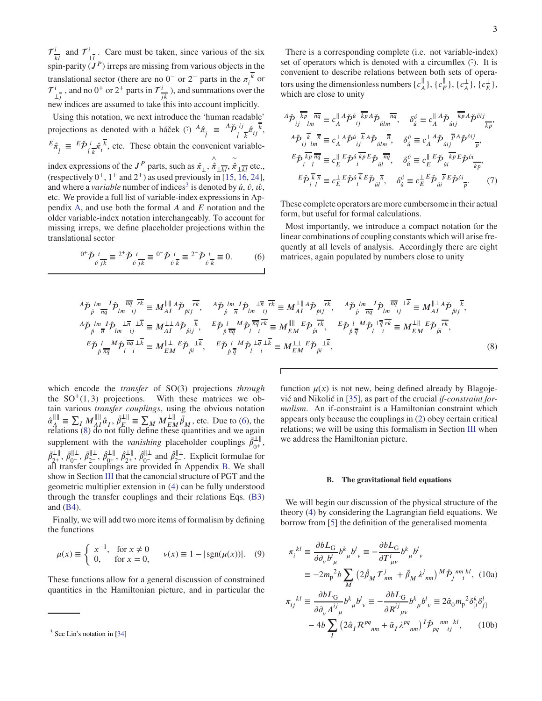$\mathcal{T}^i$  $\frac{i}{kl}$  and  $\mathcal{T}^i$  $\frac{i}{\perp l}$ . Care must be taken, since various of the six spin-parity  $(J^P)$  irreps are missing from various objects in the translational sector (there are no  $0^-$  or  $2^-$  parts in the  $\pi_i^k$  or  $\mathcal{T}^i$  $\frac{i}{\pm j}$ , and no 0<sup>+</sup> or 2<sup>+</sup> parts in  $\mathcal{T}^i_j$  $\frac{i}{jk}$ ), and summations over the new indices are assumed to take this into account implicitly.

Using this notation, we next introduce the 'human readable' projections as denoted with a háček ( $\hat{i}$ )  ${}^{A}\hat{\pi}$ <sub>*i*</sub>  ${}^{=}$   ${}^{A}\check{p}$ <sub>*i*</sub>  ${}^{i}\frac{\pi}{k}$ ,  ${}^{i}\frac{\pi}{k}$ ,  ${}^{j}\frac{\pi}{k}$ ,  $^{E}\hat{\pi}$ <sub>*i*</sub>  $\neq$   $^{E}\check{P}$ <sub>*i*</sub> $^{i}_{\hat{\kappa}}\hat{\pi}$ <sup>*i*</sup>, etc. These obtain the convenient variable-

index expressions of the  $J^P$  parts, such as  $\hat{\pi}_{\perp}$ ,  $\hat{\hat{\pi}}_{\perp\overline{k}l}$ ,  $\hat{\hat{\pi}}_{\perp\overline{k}l}$  etc., (respectively  $0^+$ ,  $1^+$  and  $2^+$ ) as used previously in [\[15](#page-11-14), [16,](#page-11-4) [24](#page-11-11)], and where a *variable* number of indices<sup>[3](#page-2-1)</sup> is denoted by  $\acute{u}$ ,  $\acute{v}$ ,  $\acute{w}$ , etc. We provide a full list of variable-index expressions in Appendix [A,](#page-11-21) and use both the formal *𝐴* and *𝐸* notation and the older variable-index notation interchangeably. To account for missing irreps, we define placeholder projections within the translational sector

<span id="page-2-2"></span>
$$
{}^{0^{+}}\check{p}{}_{\acute{\theta}}^{i}{}_{\overline{jk}} \equiv {}^{2^{+}}\check{p}{}_{\acute{\theta}}^{i}{}_{\overline{jk}} \equiv {}^{0^{-}}\check{p}{}_{\acute{\theta}}^{i}{}_{\overline{k}} \equiv {}^{2^{-}}\check{p}{}_{\acute{\theta}}^{i}{}_{\overline{k}} \equiv 0. \tag{6}
$$

There is a corresponding complete (i.e. not variable-index) set of operators which is denoted with a circumflex ( $\hat{\cdot}$ ). It is convenient to describe relations between both sets of operators using the dimensionless numbers  $\{c_n^{\parallel}$  $\frac{\parallel}{A}$ , { $c_E^{\parallel}$  $\frac{\parallel}{E}$ , { $c_A^{\perp}$  $\frac{1}{A}$ }, { $c_E^{\perp}$  $_{E}^{\perp}\},$ which are close to unity

$$
{}^{A}\hat{\mathcal{P}}_{ij} \frac{\overline{k p}}{\overline{k n}} \frac{\overline{n q}}{\overline{n q}} \equiv c_{A}^{\parallel} A \check{\mathcal{P}}^{ii} \frac{\overline{k p} A \check{\mathcal{P}}_{iilm}}{\overline{k p}} , \quad \delta_{\acute{u}}^{\acute{v}} \equiv c_{A}^{\parallel} A \check{\mathcal{P}}_{ilij} \frac{\overline{k p} A \check{\mathcal{P}}^{0ij}}{\overline{k p}},
$$
  
\n
$$
{}^{A}\hat{\mathcal{P}}_{ij} \frac{\overline{k}}{\overline{k n}} \frac{\overline{n}}{\overline{n}} \equiv c_{A}^{\perp} A \check{\mathcal{P}}^{ii} \frac{\overline{k}}{\overline{k p}} \overline{k p} \frac{\overline{n}}{\overline{n}}, \quad \delta_{\acute{u}}^{\acute{v}} \equiv c_{A}^{\perp} A \check{\mathcal{P}}_{ilij} \frac{\overline{n}}{\overline{n p}},
$$
  
\n
$$
{}^{E}\hat{\mathcal{P}}_{i} \frac{\overline{k p}}{\overline{n q}} \frac{\overline{n q}}{\overline{n q}} \equiv c_{E}^{\parallel} E \check{\mathcal{P}}^{ii} \frac{\overline{k p}}{\overline{k p}} E \check{\mathcal{P}}_{iili} \frac{\overline{n q}}{\overline{n q}}, \quad \delta_{\acute{u}}^{\acute{v}} \equiv c_{E}^{\parallel} E \check{\mathcal{P}}_{iili} \frac{\overline{k p}}{\overline{k p}} E \check{\mathcal{P}}^{0i} \frac{\overline{n}}{\overline{k p}},
$$
  
\n
$$
E \hat{\mathcal{P}}_{i} \frac{\overline{k}}{\overline{n}} \equiv c_{E}^{\perp} E \check{\mathcal{P}}^{ii} \frac{\overline{k p}}{\overline{k p}} \check{\mathcal{P}}_{jili} \frac{\overline{n}}{\overline{n}}, \quad \delta_{\acute{u}}^{\acute{v}} \equiv c_{E}^{\perp} E \check{\mathcal{P}}_{iili} \frac{\overline{n}}{\overline{n}} E \check{\mathcal{P}}^{0i} \frac{\overline{n}}{\overline{n}}.
$$
 (7)

These complete operators are more cumbersome in their actual form, but useful for formal calculations.

Most importantly, we introduce a compact notation for the linear combinations of coupling constants which will arise frequently at all levels of analysis. Accordingly there are eight matrices, again populated by numbers close to unity

$$
A\tilde{p} \lim_{\substack{\beta \to \pi} I} \hat{p} \lim_{\substack{\overline{\beta} \to \pi} I} \frac{\overline{\gamma}}{\overline{\gamma}} \equiv M_{AI}^{||||} A\tilde{p} \lim_{\substack{\beta \to \pi} I} \frac{\overline{\gamma}}{\overline{\gamma}} \, M_{\beta}^{||m||} \frac{1}{\overline{n}} \hat{p} \lim_{\substack{\overline{\beta} \to \pi} I} \frac{1}{\overline{n}} \hat{p} \lim_{\substack{\overline{\beta} \to \pi} I} \frac{1}{\overline{n}} \equiv M_{AI}^{||||} A\tilde{p} \lim_{\substack{\beta \to \pi} I} \hat{p} \lim_{\substack{\overline{\beta} \to \pi} I} \hat{p} \lim_{\substack{\beta \to \pi} I} \hat{p} \lim_{\substack{\beta \to \pi} I} \hat{p} \lim_{\substack{\beta \to \pi} I} \hat{p} \lim_{\substack{\beta \to \pi} I} \hat{p} \lim_{\substack{\beta \to \pi} I} \hat{p} \lim_{\substack{\beta \to \pi} I} \hat{p} \lim_{\substack{\beta \to \pi} I} \hat{p} \lim_{\substack{\beta \to \pi} I} \hat{p} \lim_{\substack{\beta \to \pi} I} \hat{p} \lim_{\substack{\beta \to \pi} I} \hat{p} \lim_{\substack{\beta \to \pi} I} \hat{p} \lim_{\substack{\beta \to \pi} I} \hat{p} \lim_{\substack{\beta \to \pi} I} \hat{p} \lim_{\substack{\beta \to \pi} I} \hat{p} \lim_{\substack{\beta \to \pi} I} \hat{p} \lim_{\substack{\beta \to \pi} I} \hat{p} \lim_{\substack{\beta \to \pi} I} \hat{p} \lim_{\substack{\beta \to \pi} I} \hat{p} \lim_{\substack{\beta \to \pi} I} \hat{p} \lim_{\substack{\beta \to \pi} I} \hat{p} \lim_{\substack{\beta \to \pi} I} \hat{p} \lim_{\substack{\beta \to \pi} I} \hat{p} \lim_{\substack{\beta \to \pi} I} \hat{p} \lim_{\substack{\beta \to \pi} I} \hat{p} \lim_{\substack{\beta \to \pi} I} \hat{p} \lim
$$

which encode the *transfer* of SO(3) projections *through* the  $SO^+(1,3)$  projections. With these matrices we obtain various *transfer couplings*, using the obvious notation  $\hat{\alpha}_{A}^{\parallel\parallel}$  $\| \cdot \|_A^{\| \cdot \|} \equiv \sum_{I} M_{AI}^{\| \cdot \|} \hat{\alpha}_I, \, \bar{\beta}_{E}^{\perp \|}$  $\bar{J}_{E}^{\perp \parallel} = \sum_{M} M_{EM}^{\perp \parallel} \bar{b}_{M}$ , etc. Due to [\(6\)](#page-2-2), the relations [\(8\)](#page-2-3) do not fully define these quantities and we again supplement with the *vanishing* placeholder couplings  $\overline{\vec{\beta}}_{0+}^{\perp\parallel}$ ו⊥<br>(⊢ י  $\bar{\beta}_{\gamma+}^{\perp\parallel}$  $\bar{a}^{\parallel \perp}_{2^{+}}, \bar{\beta}^{\parallel \perp}_{0^{-}}$ <sup>;||⊥</sup>,  $\bar{\beta}_{2^{-}}^{||\perp}$ <sup>;∥⊥</sup>,  $\hat{\beta}_{0^+}^{\perp \parallel}$  $\hat{\beta}_{2^+}^{\perp \parallel}, \hat{\beta}_{2^+}^{\perp \parallel}$  $\hat{\beta}_{0^{-}}^{\|\perp\|}$ ,  $\hat{\beta}_{0^{-}}^{\|\perp\|}$  $\int_{0^-}^{\|\cdot\|}$  and  $\hat{\beta}_{2^-}^{\|\cdot\|}$  $2^{\frac{1}{2}}$ . Explicit formulae for all transfer couplings are provided in Appendix [B.](#page-12-0) We shall show in Section [III](#page-3-0) that the canoncial structure of PGT and the geometric multiplier extension in [\(4\)](#page-1-3) can be fully understood through the transfer couplings and their relations Eqs. [\(B3\)](#page-12-1) and [\(B4\)](#page-12-2).

Finally, we will add two more items of formalism by defining the functions

$$
\mu(x) \equiv \begin{cases} x^{-1}, & \text{for } x \neq 0 \\ 0, & \text{for } x = 0, \end{cases} \quad v(x) \equiv 1 - |\text{sgn}(\mu(x))|. \quad (9)
$$

These functions allow for a general discussion of constrained quantities in the Hamiltonian picture, and in particular the

function  $\mu(x)$  is not new, being defined already by Blagojević and Nikolić in [\[35](#page-11-23)], as part of the crucial *if-constraint formalism*. An if-constraint is a Hamiltonian constraint which appears only because the couplings in [\(2\)](#page-0-2) obey certain critical relations; we will be using this formalism in Section [III](#page-3-0) when we address the Hamiltonian picture.

# <span id="page-2-4"></span><span id="page-2-3"></span><span id="page-2-0"></span>**B. The gravitational field equations**

We will begin our discussion of the physical structure of the theory [\(4\)](#page-1-3) by considering the Lagrangian field equations. We borrow from [\[5](#page-10-6)] the definition of the generalised momenta

$$
\pi_i^{kl} \equiv \frac{\partial bL_G}{\partial \partial_\nu b^i_{\mu}} b^k_{\nu} b^l_{\nu} \equiv -\frac{\partial bL_G}{\partial T^i_{\mu\nu}} b^k_{\mu} b^l_{\nu}
$$
  
\n
$$
\equiv -2m_p^{2} b \sum_M (2\hat{\beta}_M T^j_{nm} + \bar{\beta}_M \lambda^j_{nm})^M \hat{P}_j^{nm} k^l, (10a)
$$
  
\n
$$
\tau_{ij}^{kl} \equiv \frac{\partial bL_G}{\partial \lambda_{ij}^{kl}} b^k_{\mu} b^l_{\nu} \equiv -\frac{\partial bL_G}{\partial P^i} b^k_{\mu} b^l_{\nu} \equiv 2\hat{\alpha}_0 m_p^{2} \delta_{[i}^{k} \delta_{j]}^{l}
$$

<span id="page-2-5"></span>
$$
\pi_{ij}^{k'} \equiv \frac{\partial}{\partial \partial_{\nu} A^{ij}} b^{\kappa}{}_{\mu} b^{\iota}{}_{\nu} \equiv -\frac{\partial}{\partial R^{ij}} b^{\kappa}{}_{\mu} b^{\iota}{}_{\nu} \equiv 2 \hat{\alpha}_{0} m_{p}^{-2} \delta^{\kappa}_{[i} \delta^{\iota}_{j]}
$$

$$
-4b \sum_{I} (2 \hat{\alpha}_{I} R^{pq}{}_{mn} + \bar{\alpha}_{I} \lambda^{pq}{}_{nm})^{I} \hat{P}_{pq}{}^{nm}{}_{ij}{}^{kl}, \qquad (10b)
$$

<span id="page-2-1"></span><sup>3</sup> See Lin's notation in [\[34\]](#page-11-22)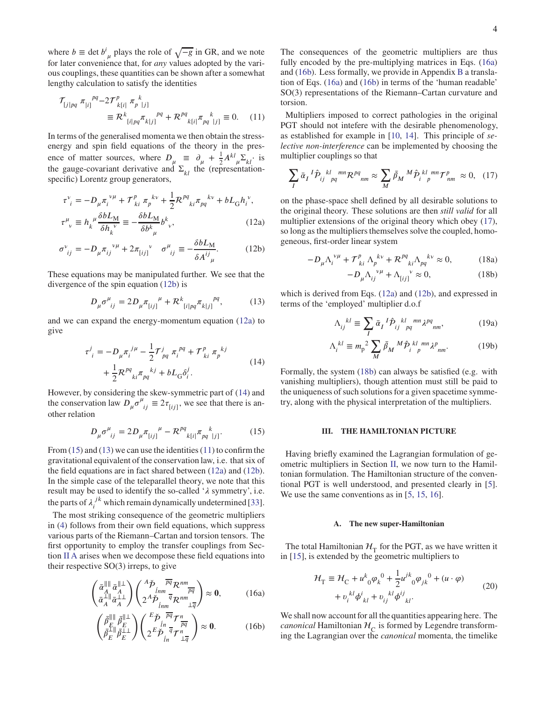where *b*  $\equiv$  det *b<sup>i</sup>*<sub>µ</sub> plays the role of  $\sqrt{-g}$  in GR, and we note for later convenience that, for *any* values adopted by the various couplings, these quantities can be shown after a somewhat lengthy calculation to satisfy the identities

$$
\mathcal{T}_{[j|pq} \pi_{[i]}^{pq} - 2\mathcal{T}^p_{k[i]} \pi_{p}^{k}_{|j]}
$$
\n
$$
\equiv \mathcal{R}^k_{[i|pq} \pi_{k[j]}^{pq} + \mathcal{R}^{pq}_{k[i]} \pi_{pq}^{k}_{|j]} \equiv 0. \quad (11)
$$

In terms of the generalised momenta we then obtain the stressenergy and spin field equations of the theory in the presence of matter sources, where  $D_{\mu} \equiv \partial_{\mu} + \frac{1}{2}$  $\frac{1}{2}A^{kl}{}_{\mu}\Sigma_{kl}$ <sup>·</sup> is the gauge-covariant derivative and  $\Sigma_{kl}$  the (representationspecific) Lorentz group generators,

$$
\tau^{\nu}_{i} = -D_{\mu}\pi_{i}^{\ \nu\mu} + \mathcal{T}^{p}_{ki}\pi_{p}^{\ k\nu} + \frac{1}{2}\mathcal{R}^{pq}_{ki}\pi_{pq}^{\ k\nu} + bL_{G}h_{i}^{\ \nu},
$$

$$
\tau^{\mu}_{\ \nu} \equiv h_{k}^{\ \mu}\frac{\delta bL_{M}}{\delta h_{k}^{\ \nu}} \equiv -\frac{\delta bL_{M}}{\delta b^{k}_{\ \mu}}b^{k}_{\ \nu},\tag{12a}
$$

$$
\sigma_{ij}^{\nu} = -D_{\mu} \pi_{ij}^{\ \nu\mu} + 2\pi_{[ij]}^{\ \nu} \quad \sigma_{ij}^{\mu} \equiv -\frac{\delta b L_M}{\delta A^{ij}}.
$$
 (12b)

These equations may be manipulated further. We see that the divergence of the spin equation [\(12b\)](#page-3-1) is

$$
D_{\mu}\sigma^{\mu}_{\ ij} = 2D_{\mu}\pi_{[ij]}^{\mu} + \mathcal{R}^{k}_{\ [i|pq}\pi_{k|j]}^{\ \ pq},\tag{13}
$$

<span id="page-3-3"></span>and we can expand the energy-momentum equation [\(12a\)](#page-3-2) to give

$$
\tau^{j}_{\;i} = -D_{\mu}\pi_{i}^{j\mu} - \frac{1}{2}\mathcal{T}^{j}_{pq}\pi_{i}^{pq} + \mathcal{T}^{p}_{ki}\pi_{p}^{kj} + \frac{1}{2}\mathcal{R}^{pq}_{ki}\pi_{pq}^{kj} + bL_{G}\delta_{i}^{j}.
$$
\n(14)

However, by considering the skew-symmetric part of [\(14\)](#page-3-3) and the conservation law  $D_{\mu} \sigma^{\mu}{}_{ij} \equiv 2\tau_{[ij]}$ , we see that there is another relation

<span id="page-3-4"></span>
$$
D_{\mu}\sigma^{\mu}_{ij} = 2D_{\mu}\pi_{[ij]}^{\ \ \mu} - \mathcal{R}^{pq}_{\ k[i]}\pi_{pq}^{\ \ k}_{\ |j]}.
$$
 (15)

From  $(15)$  and  $(13)$  we can use the identities  $(11)$  to confirm the gravitational equivalent of the conservation law, i.e. that six of the field equations are in fact shared between [\(12a\)](#page-3-2) and [\(12b\)](#page-3-1). In the simple case of the teleparallel theory, we note that this result may be used to identify the so-called 'λ symmetry', i.e. the parts of  $\lambda_i^{jk}$  $j^k$  which remain dynamically undetermined [\[33](#page-11-20)].

The most striking consequence of the geometric multipliers in [\(4\)](#page-1-3) follows from their own field equations, which suppress various parts of the Riemann–Cartan and torsion tensors. The first opportunity to employ the transfer couplings from Section [II A](#page-1-2) arises when we decompose these field equations into their respective SO(3) irreps, to give

$$
\begin{pmatrix}\n\bar{\alpha}_{A}^{\|\|}\bar{\alpha}_{A}^{\|\perp} \\
\bar{\alpha}_{A}^{\perp\|\|}\bar{\alpha}_{A}^{\perp\perp}\n\end{pmatrix}\n\begin{pmatrix}\n^{A}\check{P} & \overline{pq} \mathcal{R}^{nm} \\
\hat{lm} & \overline{q} \mathcal{R}^{nm} \\
2^{A}\check{P} & \overline{q} \mathcal{R}^{nm} \\
\lim_{\text{sup}}\bar{\alpha}_{\perp\overline{q}}\n\end{pmatrix} \approx 0, \qquad (16a)
$$

$$
\begin{pmatrix}\n\bar{\beta}_{E}^{\parallel\parallel}\bar{\beta}_{E}^{\parallel\perp} \\
\bar{\beta}_{E}^{\perp\parallel}\bar{\beta}_{E}^{\perp\perp}\n\end{pmatrix}\n\begin{pmatrix}\n\frac{E\check{\mathcal{P}}}{\check{P}q}\frac{\overline{pq}}{r} \\
2\frac{E\check{\mathcal{P}}}{\check{P}_{in}}\frac{\overline{q}}{r}\frac{r}{n} \\
2\frac{E\check{\mathcal{P}}}{\check{P}_{in}}\frac{\overline{q}}{r}\frac{r}{n}\n\end{pmatrix}\n\approx 0.
$$
\n(16b)

The consequences of the geometric multipliers are thus fully encoded by the pre-multiplying matrices in Eqs. [\(16a\)](#page-3-7) and [\(16b\)](#page-3-8). Less formally, we provide in Appendix [B](#page-12-0) a translation of Eqs. [\(16a\)](#page-3-7) and [\(16b\)](#page-3-8) in terms of the 'human readable' SO(3) representations of the Riemann–Cartan curvature and torsion.

<span id="page-3-6"></span>Multipliers imposed to correct pathologies in the original PGT should not intefere with the desirable phenomenology, as established for example in [\[10,](#page-11-0) [14\]](#page-11-3). This principle of *selective non-interference* can be implemented by choosing the multiplier couplings so that

<span id="page-3-9"></span>
$$
\sum_{I} \bar{\alpha}_{I}{}^{I} \hat{P}_{ij}{}^{kl}{}_{pq}{}^{mn} \mathcal{R}^{pq}{}_{nm} \approx \sum_{M} \bar{\beta}_{M}{}^{M} \hat{P}_{i}{}^{kl}{}_{p}{}^{mn} \mathcal{T}^{p}{}_{nm} \approx 0, \quad (17)
$$

<span id="page-3-2"></span><span id="page-3-1"></span>on the phase-space shell defined by all desirable solutions to the original theory. These solutions are then *still valid* for all multiplier extensions of the original theory which obey [\(17\)](#page-3-9), so long as the multipliers themselves solve the coupled, homogeneous, first-order linear system

$$
-D_{\mu}\Lambda_i^{\nu\mu} + \mathcal{T}_{ki}^p \Lambda_p^{\ k\nu} + \mathcal{R}_{\ k i}^{pq} \Lambda_{pq}^{\ k\nu} \approx 0, \tag{18a}
$$

<span id="page-3-10"></span>
$$
-D_{\mu} \Lambda_{ij}^{\ \nu\mu} + \Lambda_{[ij]}^{\ \nu} \approx 0, \tag{18b}
$$

<span id="page-3-5"></span>which is derived from Eqs. [\(12a\)](#page-3-2) and [\(12b\)](#page-3-1), and expressed in terms of the 'employed' multiplier d.o.f

<span id="page-3-13"></span><span id="page-3-12"></span>
$$
\Lambda_{ij}^{kl} \equiv \sum_{I} \bar{\alpha}_{I}^{I} \hat{P}_{ij}^{kl}{}_{pq}^{mn} \lambda^{pq}{}_{nm},\tag{19a}
$$

$$
\Lambda_i^{kl} \equiv m_p^2 \sum_M \bar{\beta}_M{}^M \hat{\mathcal{P}}_i{}^{kl \ mn} \lambda^p{}_{nm}. \tag{19b}
$$

Formally, the system [\(18b\)](#page-3-10) can always be satisfied (e.g. with vanishing multipliers), though attention must still be paid to the uniqueness of such solutions for a given spacetime symmetry, along with the physical interpretation of the multipliers.

## <span id="page-3-0"></span>**III. THE HAMILTONIAN PICTURE**

Having briefly examined the Lagrangian formulation of geometric multipliers in Section [II,](#page-1-5) we now turn to the Hamiltonian formulation. The Hamiltonian structure of the conventional PGT is well understood, and presented clearly in [\[5](#page-10-6)]. We use the same conventions as in [\[5,](#page-10-6) [15,](#page-11-14) [16\]](#page-11-4).

## <span id="page-3-11"></span>**A. The new super-Hamiltonian**

The total Hamiltonian  $H_T$  for the PGT, as we have written it in [\[15\]](#page-11-14), is extended by the geometric multipliers to

$$
\mathcal{H}_{\rm T} \equiv \mathcal{H}_{\rm C} + u^k_{0} \varphi_k^0 + \frac{1}{2} u^{jk}_{0} \varphi_{jk}^0 + (u \cdot \varphi) \n+ v_i^{kl} \varphi_{kl}^i + v_{ij}^{kl} \varphi_{kl}^{ij}.
$$
\n(20)

<span id="page-3-8"></span><span id="page-3-7"></span>We shall now account for all the quantities appearing here. The *canonical* Hamiltonian  $\mathcal{H}_C$  is formed by Legendre transforming the Lagrangian over the *canonical* momenta, the timelike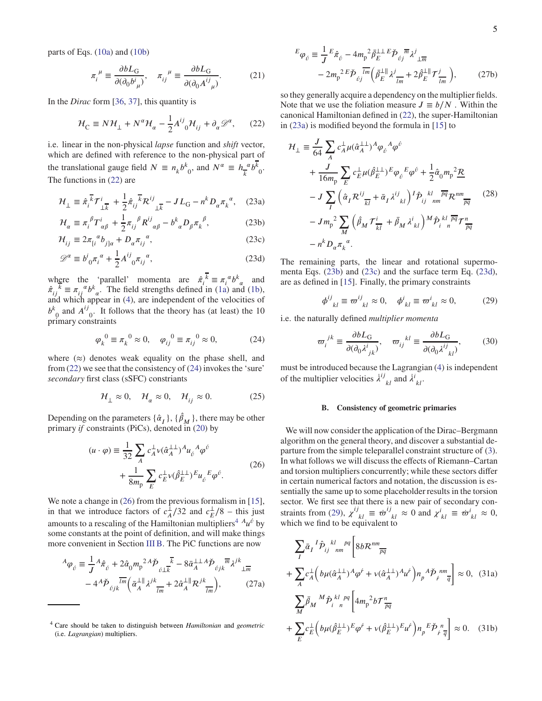parts of Eqs. [\(10a\)](#page-2-4) and [\(10b\)](#page-2-5)

$$
\pi_i^{\mu} \equiv \frac{\partial bL_G}{\partial (\partial_0 b^i_{\mu})}, \quad \pi_{ij}^{\mu} \equiv \frac{\partial bL_G}{\partial (\partial_0 A^{ij}_{\mu})}.
$$
 (21)

In the *Dirac* form [\[36](#page-11-24), [37\]](#page-11-25), this quantity is

$$
\mathcal{H}_{\rm C} \equiv N \mathcal{H}_{\perp} + N^{\alpha} \mathcal{H}_{\alpha} - \frac{1}{2} A^{ij}_{\ 0} \mathcal{H}_{ij} + \partial_{\alpha} \mathcal{D}^{\alpha}, \qquad (22)
$$

i.e. linear in the non-physical *lapse* function and *shift* vector, which are defined with reference to the non-physical part of the translational gauge field  $N \equiv n_k b^k$  $b_0$ , and  $N^{\alpha} \equiv h_{\overline{k}}^{\alpha}$  $\frac{a}{k}$ <sup>*k*</sup> 0 . The functions in [\(22\)](#page-4-1) are

$$
\mathcal{H}_{\perp} \equiv \hat{\pi}_i^{\overline{k}} \mathcal{T}_{\perp \overline{k}}^i + \frac{1}{2} \hat{\pi}_{ij}^{\overline{k}} \mathcal{R}_{\perp \overline{k}}^{ij} - J L_{\text{G}} - n^k D_\alpha {\pi_k}^\alpha, \quad (23a)
$$

$$
\mathcal{H}_{\alpha} \equiv \pi_i^{\ \beta} T^i_{\ \alpha\beta} + \frac{1}{2} \pi_{ij}^{\ \beta} R^{ij}_{\ \ \alpha\beta} - b^k_{\ \alpha} D_{\beta} \pi_k^{\ \beta},\tag{23b}
$$

$$
\mathcal{H}_{ij} \equiv 2\pi_{[i}{}^{\alpha}b_{j]\alpha} + D_{\alpha}\pi_{ij}{}^{\alpha},\tag{23c}
$$

$$
\mathcal{D}^{\alpha} \equiv b^i_{\ 0} \pi_i^{\ \alpha} + \frac{1}{2} A^{ij}_{\ 0} \pi_{ij}^{\ \alpha},\tag{23d}
$$

where the 'parallel' momenta are  $\hat{\pi}^k_i \equiv \pi^{\alpha} b^k_{\alpha}$  and  $\hat{\pi}^{\,k}_{ij} \equiv \pi^{\,k}_{ij} a b^k_{\alpha}$ . The field strengths defined in [\(1a\)](#page-0-3) and [\(1b\)](#page-0-4), and which appear in [\(4\)](#page-1-3), are independent of the velocities of  $b^k$  $\varphi$  and  $A^{ij}$  $_{0}$ . It follows that the theory has (at least) the 10 primary constraints

<span id="page-4-2"></span>
$$
\varphi_k^0 \equiv \pi_k^0 \approx 0, \quad \varphi_{ij}^0 \equiv \pi_{ij}^0 \approx 0,
$$
\n(24)

where  $(\approx)$  denotes weak equality on the phase shell, and from [\(22\)](#page-4-1) we see that the consistency of [\(24\)](#page-4-2) invokes the 'sure' *secondary* first class (sSFC) constriants

$$
\mathcal{H}_{\perp} \approx 0, \quad \mathcal{H}_{\alpha} \approx 0, \quad \mathcal{H}_{ij} \approx 0. \tag{25}
$$

Depending on the parameters  $\{\hat{\alpha}_I\}$ ,  $\{\hat{\beta}_M\}$ , there may be other primary *if* constraints (PiCs), denoted in [\(20\)](#page-3-11) by

$$
(u \cdot \varphi) \equiv \frac{1}{32} \sum_{A} c_A^{\perp} \nu (\hat{\alpha}_A^{\perp \perp})^A u_{\vec{b}}^{\phantom{\perp} A} \varphi^{\vec{b}} + \frac{1}{8m_\text{p}} \sum_{E} c_E^{\perp} \nu (\hat{\beta}_E^{\perp \perp})^E u_{\vec{b}}^{\phantom{\perp} E} \varphi^{\vec{b}}.
$$
 (26)

We note a change in  $(26)$  from the previous formalism in [\[15](#page-11-14)], in that we introduce factors of  $c_A^{\perp}$  $\frac{1}{A}/32$  and  $c_E^{\perp}$  $\frac{1}{E}/8$  – this just amounts to a rescaling of the Hamiltonian multipliers<sup>[4](#page-4-4)</sup>  $A$  $u^{\hat{v}}$  by some constants at the point of definition, and will make things more convenient in Section [III B.](#page-4-0) The PiC functions are now

$$
{}^{A}\varphi_{\acute{\nu}} \equiv \frac{1}{J} {}^{A}\hat{\pi}_{\acute{\nu}} + 2\hat{\alpha}_{0}m_{p}{}^{2}{}^{A}\check{\mathcal{P}}_{\acute{\nu}L\overline{k}} - 8\bar{\alpha}_{A}^{\perp\perp}{}^{A}\check{\mathcal{P}}_{\acute{\nu}jk}\overline{m}_{\acute{\nu}}\lambda^{jk}{}_{\perp\overline{m}} - 4{}^{A}\check{\mathcal{P}}_{\acute{\nu}jk}\overline{m}\left(\bar{\alpha}_{A}^{\perp\parallel}{}_{\acute{\nu}}\lambda^{jk}{}_{\overline{lm}} + 2\hat{\alpha}_{A}^{\perp\parallel}{}_{\mathcal{R}}\lambda^{jk}{}_{\overline{lm}}\right),
$$
(27a)

<span id="page-4-13"></span>
$$
E_{\varphi_{\hat{U}}} \equiv \frac{1}{J} E_{\hat{\pi}_{\hat{U}}} - 4m_{\mathbf{p}}^2 \bar{\beta}_{E}^{\perp \perp} E_{\hat{\mathcal{P}}_{\hat{U}} \bar{\mathfrak{m}}} \lambda^{j}_{\perp \overline{m}} - 2m_{\mathbf{p}}^2 E_{\hat{\mathcal{P}}_{\hat{U}} \bar{\mathfrak{m}}} \left( \bar{\beta}_{E}^{\perp \parallel} \lambda^{j}_{\overline{m}} + 2 \hat{\beta}_{E}^{\perp \parallel} \mathcal{T}^{j}_{\overline{m}} \right), \qquad (27b)
$$

<span id="page-4-1"></span>so they generally acquire a dependency on the multiplier fields. Note that we use the foliation measure  $J \equiv b/N$ . Within the canonical Hamiltonian defined in [\(22\)](#page-4-1), the super-Hamiltonian in [\(23a\)](#page-4-5) is modified beyond the formula in [\[15\]](#page-11-14) to

<span id="page-4-14"></span><span id="page-4-5"></span>
$$
\mathcal{H}_{\perp} \equiv \frac{J}{64} \sum_{A} c_{A}^{\perp} \mu (\hat{\alpha}_{A}^{\perp \perp})^{A} \varphi_{\hat{v}}{}^{A} \varphi^{\hat{v}} \n+ \frac{J}{16m_{p}} \sum_{E} c_{E}^{\perp} \mu (\hat{\beta}_{E}^{\perp \perp})^{E} \varphi_{\hat{v}}{}^{E} \varphi^{\hat{v}} + \frac{1}{2} \hat{\alpha}_{0} m_{p}^{2} \underline{\mathcal{R}} \n- J \sum_{I} \left( \hat{\alpha}_{I} \mathcal{R}^{ij}_{\overline{k}I} + \bar{\alpha}_{I} \lambda^{ij}_{\overline{k}I} \right)^{I} \hat{\mathcal{P}}_{ij}{}^{kl} \frac{\overline{pq}}{nm} \mathcal{R}^{nm}_{\overline{pq}} \qquad (28) \n- J m_{p}^{2} \sum_{M} \left( \hat{\beta}_{M} \mathcal{T}^{i}_{\overline{k}I} + \bar{\beta}_{M} \lambda^{i}_{\overline{k}I} \right)^{M} \hat{\mathcal{P}}_{i}{}^{kl} \frac{\overline{pq}}{n} \mathcal{T}^{n}_{\overline{pq}} \n- n^{k} D_{\alpha} \pi_{k}^{\alpha}.
$$

<span id="page-4-8"></span><span id="page-4-7"></span><span id="page-4-6"></span>The remaining parts, the linear and rotational supermomenta Eqs. [\(23b\)](#page-4-6) and [\(23c\)](#page-4-7) and the surface term Eq. [\(23d\)](#page-4-8), are as defined in [\[15\]](#page-11-14). Finally, the primary constraints

<span id="page-4-9"></span>
$$
\phi^{ij}_{kl} \equiv \varpi^{ij}_{kl} \approx 0, \quad \phi^i_{kl} \equiv \varpi^i_{kl} \approx 0, \tag{29}
$$

i.e. the naturally defined *multiplier momenta*

$$
\varpi_i^{jk} \equiv \frac{\partial bL_G}{\partial(\partial_0 \lambda^i_{jk})}, \quad \varpi_{ij}^{kl} \equiv \frac{\partial bL_G}{\partial(\partial_0 \lambda^{ij}_{kl})},\tag{30}
$$

<span id="page-4-15"></span>must be introduced because the Lagrangian [\(4\)](#page-1-3) is independent of the multiplier velocities  $\lambda^{ij}_{kl}$  and  $\lambda^{i}_{kl}$ .

#### <span id="page-4-0"></span>**B. Consistency of geometric primaries**

<span id="page-4-3"></span>We will now consider the application of the Dirac–Bergmann algorithm on the general theory, and discover a substantial departure from the simple teleparallel constraint structure of [\(3\)](#page-1-1). In what follows we will discuss the effects of Riemann–Cartan and torsion multipliers concurrently; while these sectors differ in certain numerical factors and notation, the discussion is essentially the same up to some placeholder results in the torsion sector. We first see that there is a new pair of secondary con-straints from [\(29\)](#page-4-9),  $\chi^{ij}_{kl} \equiv \dot{\varpi}^{ij}_{kl} \approx 0$  and  $\chi^{i}_{kl} \equiv \dot{\varpi}^{i}_{kl} \approx 0$ , which we find to be equivalent to

<span id="page-4-12"></span><span id="page-4-11"></span><span id="page-4-10"></span>
$$
\sum_{I} \bar{\alpha}_{I} {}^{I} \hat{P}_{ij} {}^{kl}{}_{nm}{}^{pq} \left[ 8b \mathcal{R}^{nm} \overline{p} \right]
$$
  
+ 
$$
\sum_{A} c_{A}^{\perp} \left( b \mu (\hat{\alpha}_{A}^{\perp \perp}) {}^{A} \varphi^{\acute{r}} + v (\hat{\alpha}_{A}^{\perp \perp}) {}^{A} \mu^{\acute{r}} \right) n_{p} {}^{A} \check{\mathcal{P}}_{i} {}^{nm} \frac{1}{q} \right] \approx 0, \quad (31a)
$$
  

$$
\sum_{M} \bar{\beta}_{M} {}^{M} \hat{P}_{i} {}^{kl}{}_{n}{}^{pq} \left[ 4 m_{p} {}^{2} b \mathcal{T}^{n}_{\overline{pq}} \right]
$$
  
+ 
$$
\sum_{E} c_{E}^{\perp} \left( b \mu (\hat{\beta}_{E}^{\perp \perp})^{E} \varphi^{\acute{r}} + v (\hat{\beta}_{E}^{\perp \perp})^{E} \mu^{\acute{r}} \right) n_{p} {}^{E} \check{\mathcal{P}}_{i} {}^{n} \frac{1}{q} \right] \approx 0. \quad (31b)
$$

<span id="page-4-4"></span><sup>4</sup> Care should be taken to distinguish between *Hamiltonian* and *geometric* (i.e. *Lagrangian*) multipliers.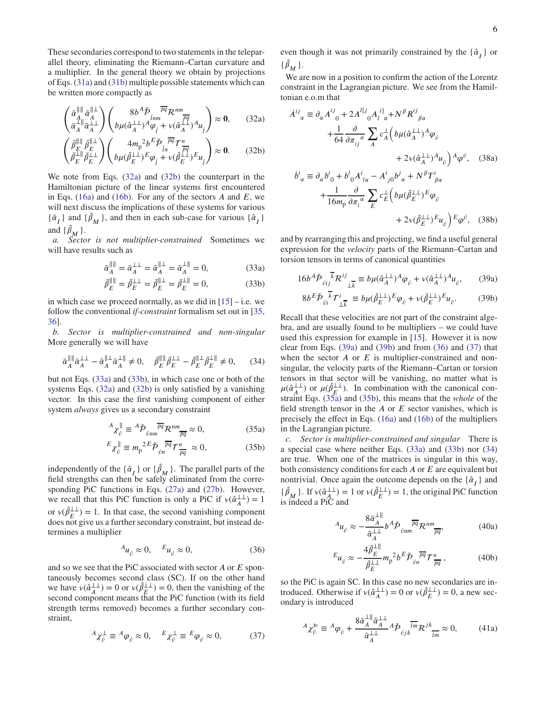These secondaries correspond to two statements in the teleparallel theory, eliminating the Riemann–Cartan curvature and a multiplier. In the general theory we obtain by projections of Eqs. [\(31a\)](#page-4-10) and [\(31b\)](#page-4-11) multiple possible statements which can be written more compactly as

$$
\begin{pmatrix} \bar{\alpha}_{A}^{\parallel\parallel} \bar{\alpha}_{A}^{\parallel\perp} \\ \bar{\alpha}_{A}^{\perp\parallel} \bar{\alpha}_{A}^{\perp\perp} \end{pmatrix} \begin{pmatrix} 8b^{A}\check{P} & \overline{pq}R^{nm} \\ b\mu(\hat{\alpha}_{A}^{\perp\perp})^{A}\varphi_{\hat{\beta}} + v(\hat{\alpha}_{A}^{\perp\perp})^{A}\mu_{\hat{\beta}} \end{pmatrix} \approx 0, \qquad (32a)
$$

$$
\begin{pmatrix}\n\bar{\beta}_{E}^{\parallel\parallel} \bar{\beta}_{E}^{\parallel\perp} \\
\bar{\beta}_{E}^{\perp\parallel} \bar{\beta}_{E}^{\perp\perp}\n\end{pmatrix}\n\begin{pmatrix}\n4m_{\rm p}^2 b^E \check{\mathcal{P}}_{\hat{j}_{n}}^{\overline{\rho q}} \mathcal{T}_{\hat{\rho q}}^{n} \\
b \mu (\hat{\beta}_{E}^{\perp\perp})^E \varphi_{\hat{j}} + v(\hat{\beta}_{E}^{\perp\perp})^E u_{\hat{j}}\n\end{pmatrix} \approx 0.
$$
\n(32b)

We note from Eqs. [\(32a\)](#page-5-0) and [\(32b\)](#page-5-1) the counterpart in the Hamiltonian picture of the linear systems first encountered in Eqs. [\(16a\)](#page-3-7) and [\(16b\)](#page-3-8). For any of the sectors  $A$  and  $E$ , we will next discuss the implications of these systems for various  $\{\bar{\alpha}_I\}$  and  $\{\bar{\beta}_M\}$ , and then in each sub-case for various  $\{\hat{\alpha}_I\}$ and  $\{\hat{\beta}_M\}$ .

*a. Sector is not multiplier-constrained* Sometimes we will have results such as

$$
\bar{\alpha}_A^{\parallel \parallel} = \bar{\alpha}_A^{\perp \perp} = \bar{\alpha}_A^{\parallel \perp} = \bar{\alpha}_A^{\perp \parallel} = 0,
$$
 (33a)

<span id="page-5-10"></span>
$$
\bar{\beta}_E^{\parallel \parallel} = \bar{\beta}_E^{\perp \perp} = \bar{\beta}_E^{\parallel \perp} = \bar{\beta}_E^{\perp \parallel} = 0, \tag{33b}
$$

in which case we proceed normally, as we did in  $[15]$  – i.e. we follow the conventional *if-constraint* formalism set out in [\[35,](#page-11-23) [36\]](#page-11-24).

*b. Sector is multiplier-constrained and non-singular* More generally we will have

$$
\bar{\alpha}_A^{\parallel \parallel} \bar{\alpha}_A^{\perp \perp} - \bar{\alpha}_A^{\parallel \perp} \bar{\alpha}_A^{\perp \parallel} \neq 0, \quad \bar{\beta}_E^{\parallel \parallel} \bar{\beta}_E^{\perp \perp} - \bar{\beta}_E^{\parallel \perp} \bar{\beta}_E^{\perp \parallel} \neq 0, \quad (34)
$$

but not Eqs. [\(33a\)](#page-5-2) and [\(33b\)](#page-5-3), in which case one or both of the systems Eqs. [\(32a\)](#page-5-0) and [\(32b\)](#page-5-1) is only satisfied by a vanishing vector. In this case the first vanishing component of either system *always* gives us a secondary constraint

$$
{}^{A} \chi_{\acute{\nu}}^{\parallel} \equiv {}^{A} \check{\mathcal{P}}_{\acute{\nu}nm} \overline{{}^{pq}} \mathcal{R}^{nm}{}_{\overline{pq}} \approx 0, \tag{35a}
$$

$$
E_{\chi_{\hat{U}}^{\parallel}} \equiv m_{\rm p}{}^{2E} \check{\mathcal{P}}_{\hat{U}n} \overline{\mathcal{P}^q} \mathcal{T}_{\frac{n}{pq}}^n \approx 0, \tag{35b}
$$

independently of the  $\{\hat{\alpha}_I\}$  or  $\{\hat{\beta}_M\}$ . The parallel parts of the field strengths can then be safely eliminated from the corresponding PiC functions in Eqs. [\(27a\)](#page-4-12) and [\(27b\)](#page-4-13). However, we recall that this PiC function is only a PiC if  $v(\hat{\alpha}^{\perp\perp}_{\perp})$  $_{A}^{\perp\perp}$ ) = 1 or  $v(\hat{\beta}^{\perp\perp}_{E}) = 1$ . In that case, the second vanishing component does not give us a further secondary constraint, but instead determines a multiplier

<span id="page-5-6"></span>
$$
{}^{A}u_{\acute{v}} \approx 0, \quad {}^{E}u_{\acute{v}} \approx 0,\tag{36}
$$

and so we see that the PiC associated with sector *A* or *E* spontaneously becomes second class (SC). If on the other hand we have  $v(\hat{\alpha}^{\perp\perp}_{\perp})$  $\frac{1}{4}$  = 0 or  $v(\hat{\beta}^{\perp\perp}_{\mathcal{F}}) = 0$ , then the vanishing of the second component means that the PiC function (with its field strength terms removed) becomes a further secondary constraint,

<span id="page-5-7"></span>
$$
{}^{A}\chi_{\acute{\nu}}^{\perp} \equiv {}^{A}\varphi_{\acute{\nu}} \approx 0, \quad {}^{E}\chi_{\acute{\nu}}^{\perp} \equiv {}^{E}\varphi_{\acute{\nu}} \approx 0, \tag{37}
$$

even though it was not primarily constrained by the  $\{\hat{\alpha}_I\}$  or  $\{\hat{\beta}_M\}$ .

We are now in a position to confirm the action of the Lorentz constraint in the Lagrangian picture. We see from the Hamiltonian e.o.m that

<span id="page-5-1"></span><span id="page-5-0"></span>
$$
\dot{A}^{ij}_{\alpha} \equiv \partial_{\alpha} A^{ij}_{\ 0} + 2A^{IJ}_{\ 0} A^{i1}_{\ l\ \alpha} + N^{\beta} R^{ij}_{\ \beta\alpha} \n+ \frac{1}{64} \frac{\partial}{\partial \pi_{ij}^{\ \alpha}} \sum_{A} c^{A}_{A} \Big( b\mu (\hat{\alpha}^{\perp\perp}_{A})^{A} \varphi_{\ell} \n+ 2\nu (\hat{\alpha}^{\perp\perp}_{A})^{A} \mu_{\ell} \Big) \Lambda \varphi^{\ell}, \quad (38a) \n\dot{b}^{i}_{\ \alpha} \equiv \partial_{\alpha} b^{i}_{\ 0} + b^{l}_{\ 0} A^{i}_{\ l\alpha} - A^{i}_{\ j0} b^{j}_{\ \alpha} + N^{\beta} T^{i}_{\ \beta\alpha} \n+ \frac{1}{16m_{\rm p}} \frac{\partial}{\partial \pi_{i}^{\ \alpha}} \sum_{E} c^{L}_{E} \Big( b\mu (\hat{\beta}^{\perp\perp}_{E})^{E} \varphi_{\ell} \n+ 2\nu (\hat{\beta}^{\perp\perp}_{E})^{E} \mu_{\ell} \Big) \xi \varphi^{\ell}, \quad (38b)
$$

<span id="page-5-2"></span>and by rearranging this and projecting, we find a useful general expression for the *velocity* parts of the Riemann–Cartan and torsion tensors in terms of canonical quantities

$$
16b^A \check{\mathcal{P}}_{\delta i j} \overline{\mathcal{R}}^{ij} \mathcal{R}^{ij}_{\perp \overline{k}} \equiv b \mu (\hat{\alpha}_A^{\perp \perp})^A \varphi_{\delta} + v (\hat{\alpha}_A^{\perp \perp})^A u_{\delta}, \qquad (39a)
$$

<span id="page-5-5"></span><span id="page-5-4"></span>
$$
8b^E \check{\mathcal{P}}_{\delta i}^{\ \overline{k}} \mathcal{T}_{\bot \overline{k}}^i \equiv b\mu (\hat{\beta}_{E}^{\bot \bot})^E \varphi_{\acute{\theta}}^{\ \ \pm 1} + \nu (\hat{\beta}_{E}^{\bot \bot})^E u_{\acute{\theta}}^{\ \ \cdot}
$$
 (39b)

<span id="page-5-3"></span>Recall that these velocities are not part of the constraint algebra, and are usually found to be multipliers – we could have used this expression for example in [\[15\]](#page-11-14). However it is now clear from Eqs. [\(39a\)](#page-5-4) and [\(39b\)](#page-5-5) and from [\(36\)](#page-5-6) and [\(37\)](#page-5-7) that when the sector *A* or *E* is multiplier-constrained and nonsingular, the velocity parts of the Riemann–Cartan or torsion tensors in that sector will be vanishing, no matter what is  $\mu(\hat{\alpha}_{A}^{\perp\perp})$  $^{1\perp}_{A}$ ) or  $\mu(\hat{\beta}^{\perp\perp}_{E})$ . In combination with the canonical constraint Eqs. [\(35a\)](#page-5-8) and [\(35b\)](#page-5-9), this means that the *whole* of the field strength tensor in the  $A$  or  $E$  sector vanishes, which is precisely the effect in Eqs. [\(16a\)](#page-3-7) and [\(16b\)](#page-3-8) of the multipliers in the Lagrangian picture.

<span id="page-5-9"></span><span id="page-5-8"></span>*c. Sector is multiplier-constrained and singular* There is a special case where neither Eqs. [\(33a\)](#page-5-2) and [\(33b\)](#page-5-3) nor [\(34\)](#page-5-10) are true. When one of the matrices is singular in this way, both consistency conditions for each *A* or *E* are equivalent but nontrivial. Once again the outcome depends on the  $\{\hat{\alpha}_I\}$  and  $\{\hat{\beta}_M\}$ . If  $v(\hat{\alpha}_A^{\perp\perp})$  $\hat{A}_{\perp}^{L\perp}$  = 1 or  $v(\hat{\beta}_{E}^{L\perp})$  = 1, the original PiC function is indeed a PiC and

<span id="page-5-11"></span>
$$
A_{\mathcal{U}_{\check{\nu}}} \approx -\frac{8\bar{\alpha}_A^{\perp \parallel}}{\bar{\alpha}_A^{\perp \perp}} b^A \check{\mathcal{P}}_{\check{\nu}nm} \overline{\mathcal{P}}_{\mathcal{R}}^{nm} \overline{\mathcal{P}}_{\overline{pq}}, \tag{40a}
$$

<span id="page-5-13"></span><span id="page-5-12"></span>
$$
E_{\mathcal{U}_{\hat{U}}} \approx -\frac{4\bar{\beta}_E^{\perp \parallel}}{\bar{\beta}_E^{\perp \perp}} m_p^2 b^E \check{\mathcal{P}}_{\hat{U}n}^{\overline{pq}} \mathcal{T}_{\overline{pq}}^n , \qquad (40b)
$$

so the PiC is again SC. In this case no new secondaries are introduced. Otherwise if  $v(\hat{\alpha}^{\perp\perp}_{\perp})$  $_{A}^{\perp\perp}$ ) = 0 or  $v(\hat{\beta}_E^{\perp\perp}) = 0$ , a new secondary is introduced

$$
{}^{A} \chi_{\acute{v}}^{\varepsilon} \equiv {}^{A} \varphi_{\acute{v}} + \frac{8 \bar{\alpha}_{A}^{\perp \parallel} \hat{\alpha}_{A}^{\perp \perp}}{\bar{\alpha}_{A}^{\perp \perp}} {}^{A} \check{\mathcal{P}}_{\acute{v}j k} \overline{l^{m}} \mathcal{R}^{jk}{}_{\overline{l^{m}}} \approx 0, \tag{41a}
$$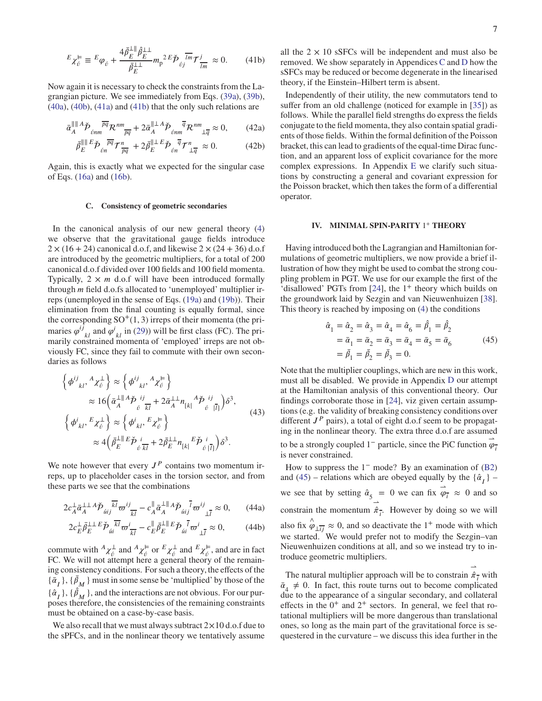$$
E_{\chi_{\hat{U}}^{\varepsilon}} \equiv E_{\varphi_{\hat{U}}} + \frac{4\bar{\beta}_{E}^{\perp\parallel}\hat{\beta}_{E}^{\perp\perp}}{\bar{\beta}_{E}^{\perp\perp}} m_{\mathsf{p}}^{\,2\,E}\tilde{\mathcal{P}}_{\hat{\mathit{U}}^{\perp}}^{\,7\,m} \mathcal{T}_{\overline{lm}}^{j} \approx 0. \tag{41b}
$$

Now again it is necessary to check the constraints from the Lagrangian picture. We see immediately from Eqs. [\(39a\)](#page-5-4), [\(39b\)](#page-5-5), [\(40a\)](#page-5-11), [\(40b\)](#page-5-12), [\(41a\)](#page-5-13) and [\(41b\)](#page-6-2) that the only such relations are

$$
\bar{\alpha}_A^{\parallel\parallel A} \check{\mathcal{P}}_{\acute{\nu}nm} \overline{\mathcal{P}q} \mathcal{R}^{nm}_{\overline{pq}} + 2 \bar{\alpha}_A^{\parallel\perp A} \check{\mathcal{P}}_{\acute{\nu}nm} \overline{\mathcal{P}} \mathcal{R}^{nm}_{\perp \overline{q}} \approx 0, \qquad (42a)
$$

$$
\bar{\beta}_E^{\parallel \parallel E} \check{\mathcal{P}}_{\ell n}^{\overline{pq}} \mathcal{T}_{\overline{pq}}^n + 2 \bar{\beta}_E^{\parallel \perp E} \check{\mathcal{P}}_{\ell n}^{\overline{q}} \mathcal{T}_{\perp \overline{q}}^n \approx 0. \tag{42b}
$$

Again, this is exactly what we expected for the singular case of Eqs. [\(16a\)](#page-3-7) and [\(16b\)](#page-3-8).

# <span id="page-6-0"></span>**C. Consistency of geometric secondaries**

In the canonical analysis of our new general theory [\(4\)](#page-1-3) we observe that the gravitational gauge fields introduce  $2 \times (16 + 24)$  canonical d.o.f, and likewise  $2 \times (24 + 36)$  d.o.f are introduced by the geometric multipliers, for a total of 200 canonical d.o.f divided over 100 fields and 100 field momenta. Typically,  $2 \times m$  d.o.f will have been introduced formally through *m* field d.o.fs allocated to 'unemployed' multiplier irreps (unemployed in the sense of Eqs. [\(19a\)](#page-3-12) and [\(19b\)](#page-3-13)). Their elimination from the final counting is equally formal, since the corresponding  $SO^+(1,3)$  irreps of their momenta (the primaries  $\varphi^{i\bar{j}}_{kl}$  and  $\varphi^{i}_{kl}$  in [\(29\)](#page-4-9)) will be first class (FC). The pri-<br>marily constrained momenta of 'employed' irreps are not obviously FC, since they fail to commute with their own secondaries as follows

$$
\left\{\phi^{ij}_{kl},{}^{A}\chi^{ \perp}_{\acute{v}}\right\} \approx \left\{\phi^{ij}_{kl},{}^{A}\chi^{ \perp}_{\acute{v}}\right\} \n\approx 16\left(\bar{\alpha}^{\perp \parallel A}_{A}\check{\mathcal{P}}_{\acute{v}}^{ij} + 2\bar{\alpha}^{\perp \perp}_{A}n_{[k|}{}^{A}\check{\mathcal{P}}_{\acute{v}}^{ij}|\bar{I}_{l})\delta^{3}, \n\left\{\phi^{i}_{kl},{}^{E}\chi^{ \perp}_{\acute{v}}\right\} \approx \left\{\phi^{i}_{kl},{}^{E}\chi^{ \perp}_{\acute{v}}\right\} \n\approx 4\left(\bar{\beta}^{\perp \parallel E}_{E}\check{\mathcal{P}}_{\acute{v}}^{i}|\bar{I}_{l} + 2\bar{\beta}^{\perp \perp}_{E}n_{[k|}{}^{E}\check{\mathcal{P}}_{\acute{v}}^{i}|\bar{I}_{l})\delta^{3}.
$$
\n(43)

We note however that every  $J<sup>P</sup>$  contains two momentum irreps, up to placeholder cases in the torsion sector, and from these parts we see that the combinations

$$
2c_A^{\perp}\bar{\alpha}_A^{\perp\perp}A\check{\mathcal{P}}_{\acute{u}ij}\overline{k^l}\varpi^{ij}_{\overline{k}l} - c_A^{\parallel}\bar{\alpha}_A^{\perp\parallel}A\check{\mathcal{P}}_{\acute{u}ij}\overline{l}\varpi^{ij}_{\perp\perp} \approx 0, \qquad (44a)
$$

$$
2c_{E}^{\perp}\bar{\beta}_{E}^{\perp\perp}{}^{E}\check{p}_{\mu i}^{\overline{k}\overline{l}}\varpi_{\overline{k}\overline{l}}^{i}-c_{E}^{\parallel}\bar{\beta}_{E}^{\perp\parallel}{}^{E}\check{p}_{\mu i}^{\overline{l}}\varpi_{\perp\overline{l}}^{i}\approx 0, \qquad (44b)
$$

commute with  $^A \chi^{\perp}_{\acute{\nu}}$  and  $^A \chi^{\vDash}_{\acute{\nu}}$  or  $^E \chi^{\perp}_{\acute{\nu}}$  and  $^E \chi^{\vDash}_{\acute{\nu}}$ , and are in fact FC. We will not attempt here a general theory of the remaining consistency conditions. For such a theory, the effects of the  $\{\bar{\alpha}_I\}$ ,  $\{\bar{\beta}_M\}$  must in some sense be 'multiplied' by those of the  $\{\hat{\alpha}_I\}$ ,  $\{\hat{\beta}_M\}$ , and the interactions are not obvious. For our purposes therefore, the consistencies of the remaining constraints must be obtained on a case-by-case basis.

We also recall that we must always subtract  $2 \times 10$  d.o.f due to the sPFCs, and in the nonlinear theory we tentatively assume <span id="page-6-2"></span>all the  $2 \times 10$  sSFCs will be independent and must also be removed. We show separately in Appendices [C](#page-12-3) and [D](#page-13-0) how the sSFCs may be reduced or become degenerate in the linearised theory, if the Einstein–Hilbert term is absent.

Independently of their utility, the new commutators tend to suffer from an old challenge (noticed for example in [\[35](#page-11-23)]) as follows. While the parallel field strengths do express the fields conjugate to the field momenta, they also contain spatial gradients of those fields. Within the formal definition of the Poisson bracket, this can lead to gradients of the equal-time Dirac function, and an apparent loss of explicit covariance for the more complex expressions. In Appendix [E](#page-13-1) we clarify such situations by constructing a general and covariant expression for the Poisson bracket, which then takes the form of a differential operator.

## <span id="page-6-1"></span>**IV. MINIMAL SPIN-PARITY** 1 <sup>+</sup> **THEORY**

Having introduced both the Lagrangian and Hamiltonian formulations of geometric multipliers, we now provide a brief illustration of how they might be used to combat the strong coupling problem in PGT. We use for our example the first of the 'disallowed' PGTs from [\[24\]](#page-11-11), the 1<sup>+</sup> theory which builds on the groundwork laid by Sezgin and van Nieuwenhuizen [\[38](#page-11-26)]. This theory is reached by imposing on [\(4\)](#page-1-3) the conditions

<span id="page-6-3"></span>
$$
\hat{\alpha}_1 = \hat{\alpha}_2 = \hat{\alpha}_3 = \hat{\alpha}_4 = \hat{\alpha}_6 = \hat{\beta}_1 = \hat{\beta}_2 \n= \bar{\alpha}_1 = \bar{\alpha}_2 = \bar{\alpha}_3 = \bar{\alpha}_4 = \bar{\alpha}_5 = \bar{\alpha}_6 \n= \bar{\beta}_1 = \bar{\beta}_2 = \bar{\beta}_3 = 0.
$$
\n(45)

Note that the multiplier couplings, which are new in this work, must all be disabled. We provide in Appendix [D](#page-13-0) our attempt at the Hamiltonian analysis of this conventional theory. Our findings corroborate those in [\[24\]](#page-11-11), viz given certain assumptions (e.g. the validity of breaking consistency conditions over different  $J<sup>P</sup>$  pairs), a total of eight d.o.f seem to be propagating in the nonlinear theory. The extra three d.o.f are assumed to be a strongly coupled  $1^-$  particle, since the PiC function  $\vec{\varphi}_7$ is never constrained.

How to suppress the  $1<sup>-</sup>$  mode? By an examination of [\(B2\)](#page-12-4) and [\(45\)](#page-6-3) – relations which are obeyed equally by the  $\{\hat{\alpha}_I\}$  – we see that by setting  $\hat{\alpha}_5 = 0$  we can fix  $\vec{\varphi}_7 \approx 0$  and so constrain the momentum  $\hat{\pi}_{\overline{i}}$ . However by doing so we will ⇀ also fix  $\hat{\varphi}_{\perp ij} \approx 0$ , and so deactivate the 1<sup>+</sup> mode with which we started. We would prefer not to modify the Sezgin–van Nieuwenhuizen conditions at all, and so we instead try to introduce geometric multipliers.

<span id="page-6-4"></span>The natural multiplier approach will be to constrain  $\hat{\pi}$ <sup> $\rightarrow$ </sup> with ⇀  $\bar{\alpha}_4 \neq 0$ . In fact, this route turns out to become complicated due to the appearance of a singular secondary, and collateral effects in the  $0^+$  and  $2^+$  sectors. In general, we feel that rotational multipliers will be more dangerous than translational ones, so long as the main part of the gravitational force is sequestered in the curvature – we discuss this idea further in the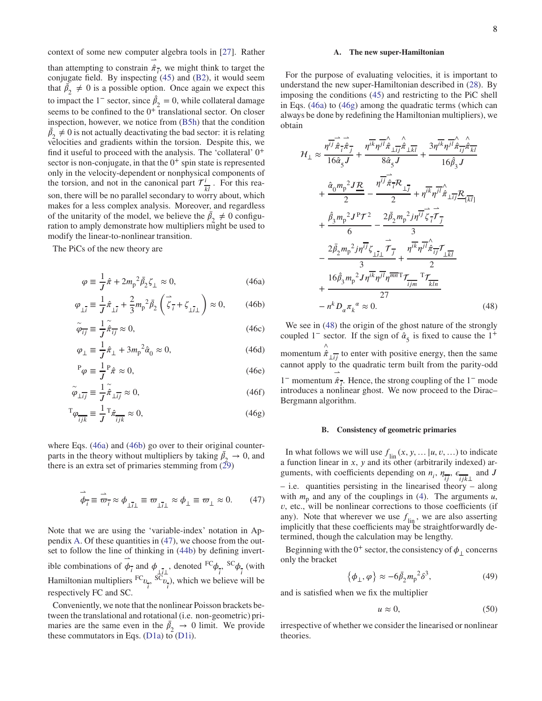than attempting to constrain  $\hat{\pi}$ <sup>*z*</sup><sub>*i*</sub>, we might think to target the conjugate field. By inspecting [\(45\)](#page-6-3) and [\(B2\)](#page-12-4), it would seem that  $\bar{\beta_2} \neq 0$  is a possible option. Once again we expect this to impact the 1<sup>-</sup> sector, since  $\hat{\beta}_2 = 0$ , while collateral damage seems to be confined to the  $0^+$  translational sector. On closer inspection, however, we notice from [\(B5h\)](#page-12-5) that the condition  $\bar{\beta}_2 \neq 0$  is not actually deactivating the bad sector: it is relating velocities and gradients within the torsion. Despite this, we find it useful to proceed with the analysis. The 'collateral' 0<sup>+</sup> sector is non-conjugate, in that the  $0^+$  spin state is represented only in the velocity-dependent or nonphysical components of the torsion, and not in the canonical part  $\mathcal{T}^i$ .  $\frac{i}{kl}$ . For this reason, there will be no parallel secondary to worry about, which makes for a less complex analysis. Moreover, and regardless of the unitarity of the model, we believe the  $\bar{\beta}_2 \neq 0$  configuration to amply demonstrate how multipliers might be used to modify the linear-to-nonlinear transition.

The PiCs of the new theory are

$$
\varphi \equiv \frac{1}{J}\hat{\pi} + 2m_{\rm p}^2 \bar{\beta}_2 \zeta_{\perp} \approx 0, \qquad (46a)
$$

$$
\varphi_{\perp \bar{i}} \equiv \frac{1}{J} \hat{\pi}_{\perp \bar{i}} + \frac{2}{3} m_{\rm p}{}^2 \bar{\beta}_2 \left( \vec{\zeta}_{\bar{i}} + \zeta_{\perp \bar{i}\perp} \right) \approx 0, \qquad (46b)
$$

$$
\tilde{\varphi}_{\overline{i}\overline{j}} \equiv \frac{1}{J} \tilde{\hat{\pi}}_{\overline{i}\overline{j}} \approx 0, \tag{46c}
$$

$$
\varphi_{\perp} \equiv \frac{1}{J}\hat{\pi}_{\perp} + 3m_{\rm p}^2 \hat{\alpha}_0 \approx 0, \qquad (46d)
$$

$$
{}^{P}\varphi \equiv \frac{1}{J}{}^{P}\hat{\pi} \approx 0,\tag{46e}
$$

$$
\tilde{\varphi}_{\perp ij} \equiv \frac{1}{J} \tilde{\hat{\pi}}_{\perp ij} \approx 0, \tag{46f}
$$

$$
{}^{T}\varphi_{\overline{ijk}} \equiv \frac{1}{J} {}^{T}\hat{\pi}_{ijk} \approx 0, \qquad (46g)
$$

where Eqs. [\(46a\)](#page-7-0) and [\(46b\)](#page-7-1) go over to their original counterparts in the theory without multipliers by taking  $\bar{\beta}_2 \rightarrow 0$ , and there is an extra set of primaries stemming from  $(29)$ 

$$
\vec{\phi}_{\overline{i}} \equiv \vec{\varpi}_{\overline{i}} \approx \phi_{\underline{i}\,\overline{i}\underline{1}} \equiv \varpi_{\underline{i}\,\overline{i}\underline{1}} \approx \phi_{\underline{1}} \equiv \varpi_{\underline{1}} \approx 0. \tag{47}
$$

Note that we are using the 'variable-index' notation in Appendix [A.](#page-11-21) Of these quantities in [\(47\)](#page-7-2), we choose from the outset to follow the line of thinking in [\(44b\)](#page-6-4) by defining invertible combinations of ⇀  $\phi_{\bar{i}}$  and  $\phi_{\bar{i}l}$ , denoted <sup>FC</sup> $\phi$  $\frac{C_{\phi}}{i}$  $\frac{1}{i}$  (with Hamiltonian multipliers <sup>FC</sup>v  $\frac{1}{i}$ <sup>, SC</sup><sub>*v*</sub>  $\frac{1}{i}$ , which we believe will be respectively FC and SC.

Conveniently, we note that the nonlinear Poisson brackets between the translational and rotational (i.e. non-geometric) primaries are the same even in the  $\bar{\beta}_2 \rightarrow 0$  limit. We provide these commutators in Eqs. [\(D1a\)](#page-13-2) to  $(D1i)$ .

### **A. The new super-Hamiltonian**

For the purpose of evaluating velocities, it is important to understand the new super-Hamiltonian described in [\(28\)](#page-4-14). By imposing the conditions [\(45\)](#page-6-3) and restricting to the PiC shell in Eqs. [\(46a\)](#page-7-0) to [\(46g\)](#page-7-3) among the quadratic terms (which can always be done by redefining the Hamiltonian multipliers), we obtain

$$
\mathcal{H}_{\perp} \approx \frac{\eta^{\overrightarrow{ij}} \hat{\pi}_{\perp}^{\perp} \hat{\pi}_{\parallel}}{16 \hat{\alpha}_{5} J} + \frac{\eta^{\overrightarrow{ik}} \eta^{\overrightarrow{jl}} \hat{\pi}_{\perp \overrightarrow{kl}}^{\perp}}{8 \hat{\alpha}_{5} J} + \frac{3 \eta^{\overrightarrow{ik}} \eta^{\overrightarrow{jl}} \hat{\pi}_{\perp \overrightarrow{jl}}^{\perp}}{16 \hat{\beta}_{3} J} \n+ \frac{\hat{\alpha}_{0} m_{p}^{2} J \underline{R}}{2} - \frac{\eta^{\overrightarrow{ij}} \hat{\pi}_{\overrightarrow{i}} R_{\perp \overrightarrow{j}}}{2} + \eta^{\overrightarrow{ik}} \eta^{\overrightarrow{jl}} \hat{\pi}_{\perp \overrightarrow{jl}} \underline{R}_{\lfloor \overrightarrow{k} \rfloor} \n+ \frac{\hat{\beta}_{3} m_{p}^{2} J^{\text{P}} \mathcal{T}^{2}}{6} - \frac{2 \bar{\beta}_{2} m_{p}^{2} j \eta^{\overrightarrow{ij}} \zeta_{\overrightarrow{i}} \overrightarrow{\tau}_{\overrightarrow{j}}}{3} \n- \frac{2 \bar{\beta}_{2} m_{p}^{2} j \eta^{\overrightarrow{ij}} \zeta_{\perp \overrightarrow{i}} \overrightarrow{\tau}_{\overrightarrow{j}} + \frac{\eta^{\overrightarrow{ik}} \eta^{\overrightarrow{j}} \hat{\pi}_{\overrightarrow{il}} \overrightarrow{\tau}_{\overrightarrow{k} \overrightarrow{l}}}{2} \n+ \frac{16 \hat{\beta}_{3} m_{p}^{2} J \eta^{\overrightarrow{ik}} \eta^{\overrightarrow{j}} \eta^{\overrightarrow{lm}} \mathcal{T}_{\overrightarrow{k} \overrightarrow{lm}}}{27} \n- n^{k} D_{\alpha} \pi_{k}^{\alpha} \approx 0.
$$
\n(48)

<span id="page-7-4"></span><span id="page-7-1"></span><span id="page-7-0"></span>We see in  $(48)$  the origin of the ghost nature of the strongly coupled  $1^-$  sector. If the sign of  $\hat{\alpha}_5$  is fixed to cause the  $1^+$ momentum  $\hat{\hat{\pi}}_{\perp ij}$  to enter with positive energy, then the same cannot apply to the quadratic term built from the parity-odd 1<sup>−</sup> momentum  $\hat{\pi}_{\overline{i}}$ . Hence, the strong coupling of the 1<sup>−</sup> mode introduces a nonlinear ghost. We now proceed to the Dirac– Bergmann algorithm.

### **B. Consistency of geometric primaries**

<span id="page-7-3"></span><span id="page-7-2"></span>In what follows we will use  $f_{lin}(x, y, \ldots | u, v, \ldots)$  to indicate a function linear in *x*, *y* and its other (arbitrarily indexed) arguments, with coefficients depending on  $n_i$ ,  $\eta_{\overline{i}}$ ,  $\epsilon_{ijk\perp}$  and *J* – i.e. quantities persisting in the linearised theory – along with  $m_p$  and any of the couplings in [\(4\)](#page-1-3). The arguments  $u$ , *v*, etc., will be nonlinear corrections to those coefficients (if any). Note that wherever we use  $f_{lin}$ , we are also asserting implicitly that these coefficients may be straightforwardly determined, though the calculation may be lengthy.

Beginning with the  $0^+$  sector, the consistency of  $\phi_{\perp}$  concerns only the bracket

$$
\{\phi_{\perp}, \varphi\} \approx -6\bar{\beta}_2 m_p^2 \delta^3,\tag{49}
$$

and is satisfied when we fix the multiplier

<span id="page-7-5"></span>
$$
u \approx 0,\tag{50}
$$

irrespective of whether we consider the linearised or nonlinear theories.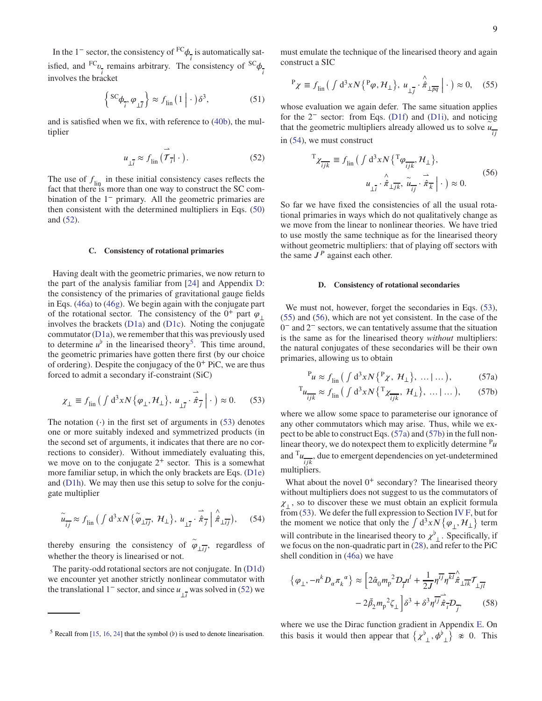In the  $1^-$  sector, the consistency of <sup>FC</sup> $\phi$  $\frac{1}{i}$  is automatically satisfied, and  $^{FC}v$  $\frac{1}{i}$  remains arbitrary. The consistency of  ${}^{SC}\phi$ *i* involves the bracket

<span id="page-8-8"></span>
$$
\left\{ \frac{\text{sc}}{\phi_{\overline{i}}}, \varphi_{\underline{i}\overline{j}} \right\} \approx f_{\text{lin}} \left( 1 \mid \cdot \right) \delta^3,\tag{51}
$$

<span id="page-8-0"></span>and is satisfied when we fix, with reference to [\(40b\)](#page-5-12), the multiplier

$$
u_{\perp \overline{i}} \approx f_{\text{lin}} \left( \vec{\mathcal{T}}_{\overline{i}} | \cdot \right). \tag{52}
$$

The use of  $f_{lin}$  in these initial consistency cases reflects the fact that there is more than one way to construct the SC combination of the 1<sup>-</sup> primary. All the geometric primaries are then consistent with the determined multipliers in Eqs. [\(50\)](#page-7-5) and [\(52\)](#page-8-0).

#### **C. Consistency of rotational primaries**

Having dealt with the geometric primaries, we now return to the part of the analysis familiar from [\[24\]](#page-11-11) and Appendix [D:](#page-13-0) the consistency of the primaries of gravitational gauge fields in Eqs. [\(46a\)](#page-7-0) to [\(46g\)](#page-7-3). We begin again with the conjugate part of the rotational sector. The consistency of the  $0^+$  part  $\varphi$ <sub>1</sub> involves the brackets [\(D1a\)](#page-13-2) and [\(D1c\)](#page-13-4). Noting the conjugate commutator [\(D1a\)](#page-13-2), we remember that this was previously used to determine  $u^{\flat}$  in the linearised theory<sup>[5](#page-8-1)</sup>. This time around, the geometric primaries have gotten there first (by our choice of ordering). Despite the conjugacy of the  $0^+$  PiC, we are thus forced to admit a secondary if-constraint (SiC)

$$
\chi_{\perp} \equiv f_{\text{lin}} \left( \int d^3 x N \{ \varphi_{\perp}, \mathcal{H}_{\perp} \}, \, u_{\perp \overline{i}} \cdot \dot{\overrightarrow{\hat{\pi}}_{\overline{j}}} \right| \cdot \right) \approx 0. \tag{53}
$$

The notation  $(·)$  in the first set of arguments in [\(53\)](#page-8-2) denotes one or more suitably indexed and symmetrized products (in the second set of arguments, it indicates that there are no corrections to consider). Without immediately evaluating this, we move on to the conjugate  $2^+$  sector. This is a somewhat more familiar setup, in which the only brackets are Eqs. [\(D1e\)](#page-13-5) and [\(D1h\)](#page-13-6). We may then use this setup to solve for the conjugate multiplier

<span id="page-8-3"></span>
$$
\widetilde{u}_{\overline{ij}} \approx f_{\text{lin}} \left( \int d^3x N \{ \widetilde{\varphi}_{\perp \overline{ij}}, \mathcal{H}_{\perp} \}, \, u_{\perp \overline{i}} \cdot \widehat{\hat{\pi}}_{\overline{j}} \middle| \hat{\hat{\pi}}_{\perp \overline{ij}} \right), \quad (54)
$$

thereby ensuring the consistency of  $\tilde{\varphi}_{\perp ij}$ , regardless of whether the theory is linearised or not.

The parity-odd rotational sectors are not conjugate. In [\(D1d\)](#page-13-7) we encounter yet another strictly nonlinear commutator with the translational 1<sup>-</sup> sector, and since  $u_{\perp i}$  was solved in [\(52\)](#page-8-0) we must emulate the technique of the linearised theory and again construct a SIC

<span id="page-8-4"></span>
$$
P_{\chi} \equiv f_{\text{lin}} \left( \int d^3 x N \left\{ \, P \varphi, \mathcal{H}_{\perp} \right\}, \, u_{\perp \overline{j}} \cdot \hat{\pi}_{\perp \overline{pq}} \, \middle| \, \cdot \, \right) \approx 0, \quad (55)
$$

whose evaluation we again defer. The same situation applies for the 2<sup>−</sup> sector: from Eqs. [\(D1f\)](#page-13-8) and [\(D1i\)](#page-13-3), and noticing that the geometric multipliers already allowed us to solve  $u_{ij}$ in [\(54\)](#page-8-3), we must construct

<span id="page-8-5"></span>
$$
{}^{T} \chi_{\overline{ijk}} \equiv f_{\text{lin}} \left( \int d^{3}x N \left\{ {}^{T} \varphi_{\overline{ijk}}, \mathcal{H}_{\perp} \right\}, \right. \\
\left. u_{\underline{1} \overline{i}} \cdot \hat{\pi}_{\underline{1} \overline{j k}}, \widetilde{u}_{\overline{ij}} \cdot \hat{\pi}_{\overline{k}} \right| \cdot \right) \approx 0.
$$
\n(56)

So far we have fixed the consistencies of all the usual rotational primaries in ways which do not qualitatively change as we move from the linear to nonlinear theories. We have tried to use mostly the same technique as for the linearised theory without geometric multipliers: that of playing off sectors with the same  $J<sup>P</sup>$  against each other.

### **D. Consistency of rotational secondaries**

We must not, however, forget the secondaries in Eqs.  $(53)$ , [\(55\)](#page-8-4) and [\(56\)](#page-8-5), which are not yet consistent. In the case of the 0 <sup>−</sup> and 2 <sup>−</sup> sectors, we can tentatively assume that the situation is the same as for the linearised theory *without* multipliers: the natural conjugates of these secondaries will be their own primaries, allowing us to obtain

<span id="page-8-7"></span><span id="page-8-6"></span>
$$
P_u \approx f_{\text{lin}} \left( \int d^3 x N \left\{ \frac{P}{\lambda}, \, \mathcal{H}_{\perp} \right\}, \, \dots \, \vert \, \dots \right), \tag{57a}
$$

$$
\mathbf{T}_{u_{ijk}} \approx f_{lin} \left( \int \mathrm{d}^3 x N \left\{ \mathbf{T}_{\chi_{ijk}}, \ \mathcal{H}_{\perp} \right\}, \ \dots \mid \dots \right), \tag{57b}
$$

<span id="page-8-2"></span>where we allow some space to parameterise our ignorance of any other commutators which may arise. Thus, while we expect to be able to construct Eqs. [\(57a\)](#page-8-6) and [\(57b\)](#page-8-7) in the full nonlinear theory, we do notexpect them to explicitly determine  $P_u$ and  $T_u$  $\frac{ij}{jk}$ , due to emergent dependencies on yet-undetermined multipliers.

What about the novel  $0^+$  secondary? The linearised theory without multipliers does not suggest to us the commutators of  $\chi_{\perp}$ , so to discover these we must obtain an explicit formula from [\(53\)](#page-8-2). We defer the full expression to Section [IV F,](#page-9-0) but for the moment we notice that only the  $\int d^3x N\{\varphi_\perp, \mathcal{H}_\perp\}$  term will contribute in the linearised theory to  $\chi^{\flat}$ <sub>1</sub>. Specifically, if we focus on the non-quadratic part in  $(28)$ , and refer to the PiC shell condition in [\(46a\)](#page-7-0) we have

<span id="page-8-9"></span>
$$
\{\varphi_{\perp}, -n^{k}D_{\alpha}\pi_{k}^{\alpha}\} \approx \left[2\hat{\alpha}_{0}m_{p}^{2}D_{\overline{l}}n^{l} + \frac{1}{2J}\eta^{\overline{l}j}\eta^{\overline{k}l}\hat{\pi}_{\perp\overline{l}\overline{k}}\mathcal{T}_{\perp\overline{j}l} - 2\bar{\beta}_{2}m_{p}^{2}\zeta_{\perp}\right]\delta^{3} + \delta^{3}\eta^{\overline{l}j}\hat{\pi}_{\overline{l}}D_{\overline{j}},
$$
(58)

where we use the Dirac function gradient in Appendix [E.](#page-13-1) On this basis it would then appear that  $\{\chi^{\flat}_{\perp}, \phi^{\flat}_{\perp}\}\n\tapprox 0$ . This

<span id="page-8-1"></span><sup>5</sup> Recall from [\[15](#page-11-14), [16](#page-11-4), [24](#page-11-11)] that the symbol (*♭*) is used to denote linearisation.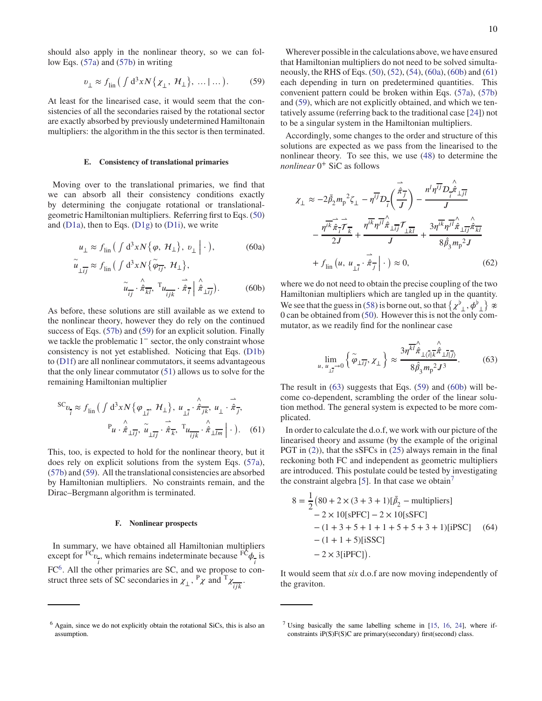should also apply in the nonlinear theory, so we can follow Eqs. [\(57a\)](#page-8-6) and [\(57b\)](#page-8-7) in writing

$$
v_{\perp} \approx f_{\text{lin}} \left( \int d^3 x N \{ \chi_{\perp}, \mathcal{H}_{\perp} \}, \dots | \dots \right). \tag{59}
$$

At least for the linearised case, it would seem that the consistencies of all the secondaries raised by the rotational sector are exactly absorbed by previously undetermined Hamiltonain multipliers: the algorithm in the this sector is then terminated.

#### **E. Consistency of translational primaries**

Moving over to the translational primaries, we find that we can absorb all their consistency conditions exactly by determining the conjugate rotational or translationalgeometric Hamiltonian multipliers. Referring first to Eqs. [\(50\)](#page-7-5) and  $(D1a)$ , then to Eqs.  $(D1g)$  to  $(D1i)$ , we write

$$
u_{\perp} \approx f_{\text{lin}} \left( \int d^3 x N \{ \varphi, \mathcal{H}_{\perp} \}, \, v_{\perp} \right) \, . \tag{60a}
$$

$$
\widetilde{u}_{\perp \overline{i j}} \approx f_{\rm lin} \left( \int d^3 x N \{ \widetilde{\varphi}_{\overline{i j}}, \mathcal{H}_{\perp} \}, \right. \n\widetilde{u}_{\overline{i j}} \cdot \hat{\pi}_{\overline{k l}}, \mathcal{T}_{\mathcal{U}_{\overline{i j k}}} \cdot \hat{\pi}_{\overline{i}} \mid \hat{\pi}_{\perp \overline{i j}} \right). \tag{60b}
$$

As before, these solutions are still available as we extend to the nonlinear theory, however they do rely on the continued success of Eqs. [\(57b\)](#page-8-7) and [\(59\)](#page-9-1) for an explicit solution. Finally we tackle the problematic 1<sup>−</sup> sector, the only constraint whose consistency is not yet established. Noticing that Eqs. [\(D1b\)](#page-13-10) to [\(D1f\)](#page-13-8) are all nonlinear commutators, it seems advantageous that the only linear commutator [\(51\)](#page-8-8) allows us to solve for the remaining Hamiltonian multiplier

$$
{}^{SC}v_{\vec{i}} \approx f_{\text{lin}} \left( \int d^3x N \{ \varphi_{\perp \vec{i}}, \mathcal{H}_{\perp} \}, u_{\perp \vec{i}} \cdot \hat{\vec{\pi}}_{\vec{j}k}, u_{\perp} \cdot \hat{\vec{\pi}}_{\vec{j}},
$$

$$
{}^{P}u \cdot \hat{\vec{\pi}}_{\perp \vec{i}j}, \tilde{u}_{\perp \vec{i}j} \cdot \hat{\vec{\pi}}_{\vec{k}}, {}^{T}u_{\frac{\lambda}{\text{ijk}}} \cdot \hat{\vec{\pi}}_{\perp \vec{l}m} \left| \cdot \right\rangle. \quad (61)
$$

This, too, is expected to hold for the nonlinear theory, but it does rely on explicit solutions from the system Eqs. [\(57a\)](#page-8-6), [\(57b\)](#page-8-7) and [\(59\)](#page-9-1). All the translational consistencies are absorbed by Hamiltonian multipliers. No constraints remain, and the Dirac–Bergmann algorithm is terminated.

### <span id="page-9-0"></span>**F. Nonlinear prospects**

In summary, we have obtained all Hamiltonian multipliers except for  ${}^{\mathrm{FC}}v$ <sup>*i*</sup></sup>, which remains indeterminate because  $F\hat{C}$  $\phi$  $\frac{1}{i}$  is  $FC<sup>6</sup>$  $FC<sup>6</sup>$  $FC<sup>6</sup>$ . All the other primaries are SC, and we propose to construct three sets of SC secondaries in  $\chi_+$ ,  $P_\chi$  and  $T_\chi$  $\frac{1}{ijk}$ .

<span id="page-9-1"></span>Wherever possible in the calculations above, we have ensured that Hamiltonian multipliers do not need to be solved simultaneously, the RHS of Eqs. [\(50\)](#page-7-5), [\(52\)](#page-8-0), [\(54\)](#page-8-3), [\(60a\)](#page-9-3), [\(60b\)](#page-9-4) and [\(61\)](#page-9-5) each depending in turn on predetermined quantities. This convenient pattern could be broken within Eqs. [\(57a\)](#page-8-6), [\(57b\)](#page-8-7) and [\(59\)](#page-9-1), which are not explicitly obtained, and which we tentatively assume (referring back to the traditional case [\[24\]](#page-11-11)) not to be a singular system in the Hamiltonian multipliers.

Accordingly, some changes to the order and structure of this solutions are expected as we pass from the linearised to the nonlinear theory. To see this, we use [\(48\)](#page-7-4) to determine the *nonlinear* 0 <sup>+</sup> SiC as follows

$$
\chi_{\perp} \approx -2\bar{\beta}_{2}m_{p}^{2}\zeta_{\perp} - \eta^{\overline{ij}}D_{\overline{i}}\left(\frac{\dot{\hat{\pi}}_{\overline{j}}}{J}\right) - \frac{n^{l}\eta^{\overline{ij}}D_{\overline{i}}\hat{\hat{\pi}}_{\perp\overline{j}}}{J}
$$

$$
-\frac{\eta^{\overline{ik}}\hat{\pi}_{\overline{i}}\hat{\tau}_{\overline{k}}}{2J} + \frac{\eta^{\overline{ik}}\eta^{\overline{j}\hat{i}}\hat{\pi}_{\perp\overline{ij}}\hat{\tau}_{\perp\overline{k}}}{J} + \frac{3\eta^{\overline{ik}}\eta^{\overline{j}\hat{i}}\hat{\pi}_{\perp\overline{i}\hat{j}}\hat{\pi}_{\overline{k}\overline{l}}}{8\hat{\beta}_{3}m_{p}^{2}J}
$$

$$
+ f_{\text{lin}}\left(u, u_{\perp\overline{i}} \cdot \hat{\pi}_{\overline{j}}\right| \cdot \right) \approx 0, \qquad (62)
$$

<span id="page-9-4"></span><span id="page-9-3"></span>where we do not need to obtain the precise coupling of the two Hamiltonian multipliers which are tangled up in the quantity. We see that the guess in [\(58\)](#page-8-9) is borne out, so that  $\{ \chi^\flat_{\bot}, \phi^\flat_{\bot} \} \not\approx$ 0 can be obtained from [\(50\)](#page-7-5). However this is not the only commutator, as we readily find for the nonlinear case

<span id="page-9-6"></span>
$$
\lim_{u, u_{\bot}^{-}\to 0} \left\{ \tilde{\varphi}_{\bot \overline{i}j}, \chi_{\bot} \right\} \approx \frac{3\eta^{\overline{k_1}} \hat{\hat{\pi}}_{\bot \langle \overline{i} | \overline{k}} \hat{\hat{\pi}}_{\bot \overline{i} \overline{j} \overline{j}}}{8\hat{\beta}_3 m_{\rm p}^2 J^3}.
$$
 (63)

The result in [\(63\)](#page-9-6) suggests that Eqs. [\(59\)](#page-9-1) and [\(60b\)](#page-9-4) will become co-dependent, scrambling the order of the linear solution method. The general system is expected to be more complicated.

<span id="page-9-5"></span>In order to calculate the d.o.f, we work with our picture of the linearised theory and assume (by the example of the original PGT in [\(2\)](#page-0-2)), that the sSFCs in [\(25\)](#page-4-15) always remain in the final reckoning both FC and independent as geometric multipliers are introduced. This postulate could be tested by investigating the constraint algebra [\[5\]](#page-10-6). In that case we obtain<sup>[7](#page-9-7)</sup>

<span id="page-9-8"></span>
$$
8 = \frac{1}{2} (80 + 2 \times (3 + 3 + 1))[\bar{\beta}_2 - \text{multipliers}]
$$
  
- 2 \times 10[sPFC] - 2 \times 10[sSFC]  
- (1 + 3 + 5 + 1 + 1 + 5 + 5 + 3 + 1)[iPSC] (64)  
- (1 + 1 + 5)[iSSC]  
- 2 \times 3[iPFC]).

It would seem that *six* d.o.f are now moving independently of the graviton.

<span id="page-9-2"></span><sup>&</sup>lt;sup>6</sup> Again, since we do not explicitly obtain the rotational SiCs, this is also an assumption.

<span id="page-9-7"></span><sup>&</sup>lt;sup>7</sup> Using basically the same labelling scheme in [\[15](#page-11-14), [16](#page-11-4), [24](#page-11-11)], where ifconstraints iP(S)F(S)C are primary(secondary) first(second) class.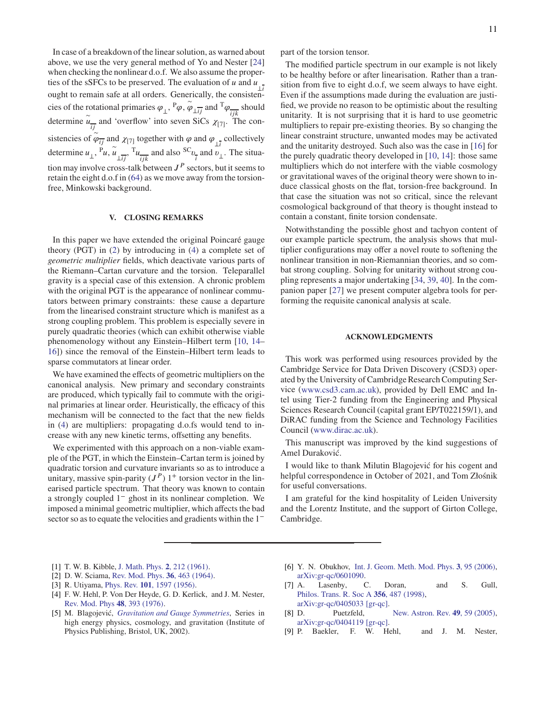In case of a breakdown of the linear solution, as warned about above, we use the very general method of Yo and Nester [\[24\]](#page-11-11) when checking the nonlinear d.o.f. We also assume the properties of the sSFCs to be preserved. The evaluation of *u* and  $u_{\perp i}$ ought to remain safe at all orders. Generically, the consistencies of the rotational primaries  $\varphi_{\perp}$ ,  ${}^{\text{P}}\varphi$ ,  $\overset{\sim}{\varphi}_{\perp ij}$  and  ${}^{\text{T}}\varphi$  $\frac{ijk}{}$ should determine  $\tilde{u}_{ij}$  and 'overflow' into seven SiCs  $\chi_{[7]}$ . The consistencies of  $\varphi_{\overline{ij}}$  and  $\chi_{[7]}$  together with  $\varphi$  and  $\varphi_{\overline{1}}$  collectively ∼ determine  $u_{\perp}$ ,  $\overline{v}_{\mu}$ ,  $\widetilde{u}_{\perp ij}$ ,  $\overline{v}_{\mu}$  $\frac{1}{ijk}$  and also <sup>SC</sup><sub>*v*</sub>  $\frac{1}{i}$  and  $v_{\perp}$ . The situation may involve cross-talk between  $J<sup>P</sup>$  sectors, but it seems to retain the eight d.o.f in [\(64\)](#page-9-8) as we move away from the torsionfree, Minkowski background.

# <span id="page-10-8"></span>**V. CLOSING REMARKS**

In this paper we have extended the original Poincaré gauge theory (PGT) in [\(2\)](#page-0-2) by introducing in [\(4\)](#page-1-3) a complete set of *geometric multiplier* fields, which deactivate various parts of the Riemann–Cartan curvature and the torsion. Teleparallel gravity is a special case of this extension. A chronic problem with the original PGT is the appearance of nonlinear commutators between primary constraints: these cause a departure from the linearised constraint structure which is manifest as a strong coupling problem. This problem is especially severe in purely quadratic theories (which can exhibit otherwise viable phenomenology without any Einstein–Hilbert term [\[10](#page-11-0), [14](#page-11-3)– [16\]](#page-11-4)) since the removal of the Einstein–Hilbert term leads to sparse commutators at linear order.

We have examined the effects of geometric multipliers on the canonical analysis. New primary and secondary constraints are produced, which typically fail to commute with the original primaries at linear order. Heuristically, the efficacy of this mechanism will be connected to the fact that the new fields in [\(4\)](#page-1-3) are multipliers: propagating d.o.fs would tend to increase with any new kinetic terms, offsetting any benefits.

We experimented with this approach on a non-viable example of the PGT, in which the Einstein–Cartan term is joined by quadratic torsion and curvature invariants so as to introduce a unitary, massive spin-parity  $(J^P)$  1<sup>+</sup> torsion vector in the linearised particle spectrum. That theory was known to contain a strongly coupled 1<sup>−</sup> ghost in its nonlinear completion. We imposed a minimal geometric multiplier, which affects the bad sector so as to equate the velocities and gradients within the 1<sup>-</sup>

part of the torsion tensor.

The modified particle spectrum in our example is not likely to be healthy before or after linearisation. Rather than a transition from five to eight d.o.f, we seem always to have eight. Even if the assumptions made during the evaluation are justified, we provide no reason to be optimistic about the resulting unitarity. It is not surprising that it is hard to use geometric multipliers to repair pre-existing theories. By so changing the linear constraint structure, unwanted modes may be activated and the unitarity destroyed. Such also was the case in [\[16](#page-11-4)] for the purely quadratic theory developed in [\[10,](#page-11-0) [14\]](#page-11-3): those same multipliers which do not interfere with the viable cosmology or gravitational waves of the original theory were shown to induce classical ghosts on the flat, torsion-free background. In that case the situation was not so critical, since the relevant cosmological background of that theory is thought instead to contain a constant, finite torsion condensate.

Notwithstanding the possible ghost and tachyon content of our example particle spectrum, the analysis shows that multiplier configurations may offer a novel route to softening the nonlinear transition in non-Riemannian theories, and so combat strong coupling. Solving for unitarity without strong coupling represents a major undertaking [\[34,](#page-11-22) [39,](#page-11-27) [40\]](#page-11-28). In the companion paper [\[27](#page-11-13)] we present computer algebra tools for performing the requisite canonical analysis at scale.

## **ACKNOWLEDGMENTS**

This work was performed using resources provided by the Cambridge Service for Data Driven Discovery (CSD3) operated by the University of Cambridge Research Computing Service [\(www.csd3.cam.ac.uk\)](www.csd3.cam.ac.uk), provided by Dell EMC and Intel using Tier-2 funding from the Engineering and Physical Sciences Research Council (capital grant EP/T022159/1), and DiRAC funding from the Science and Technology Facilities Council [\(www.dirac.ac.uk\)](www.dirac.ac.uk).

This manuscript was improved by the kind suggestions of Amel Duraković.

I would like to thank Milutin Blagojević for his cogent and helpful correspondence in October of 2021, and Tom Złośnik for useful conversations.

I am grateful for the kind hospitality of Leiden University and the Lorentz Institute, and the support of Girton College, Cambridge.

- <span id="page-10-0"></span>[1] T. W. B. Kibble, [J. Math. Phys.](https://doi.org/10.1063/1.1703702) **2**, 212 (1961).
- <span id="page-10-1"></span>[2] D. W. Sciama, [Rev. Mod. Phys.](https://doi.org/10.1103/RevModPhys.36.463) **36**, 463 (1964).
- <span id="page-10-2"></span>[3] R. Utiyama, Phys. Rev. **101**[, 1597 \(1956\).](https://doi.org/10.1103/PhysRev.101.1597)
- <span id="page-10-3"></span>[4] F. W. Hehl, P. Von Der Heyde, G. D. Kerlick, and J. M. Nester, [Rev. Mod. Phys](https://doi.org/10.1103/RevModPhys.48.393) **48**, 393 (1976).
- <span id="page-10-6"></span>[5] M. Blagojević, *[Gravitation and Gauge Symmetries](https://books.google.co.uk/books?id=Bmm2ugEACAAJ)*, Series in high energy physics, cosmology, and gravitation (Institute of Physics Publishing, Bristol, UK, 2002).
- [6] Y. N. Obukhov, [Int. J. Geom. Meth. Mod. Phys.](https://doi.org/10.1142/S021988780600103X) **3**, 95 (2006), [arXiv:gr-qc/0601090.](http://arxiv.org/abs/gr-qc/0601090)
- <span id="page-10-4"></span>[7] A. Lasenby, C. Doran, and S. Gull, [Philos. Trans. R. Soc A](https://doi.org/10.1098/rsta.1998.0178) **356**, 487 (1998), [arXiv:gr-qc/0405033 \[gr-qc\].](http://arxiv.org/abs/gr-qc/0405033)
- <span id="page-10-5"></span>[8] D. Puetzfeld, [New. Astron. Rev.](https://doi.org/10.1016/j.newar.2005.01.022) **49**, 59 (2005), [arXiv:gr-qc/0404119 \[gr-qc\].](http://arxiv.org/abs/gr-qc/0404119)
- <span id="page-10-7"></span>[9] P. Baekler, F. W. Hehl, and J. M. Nester,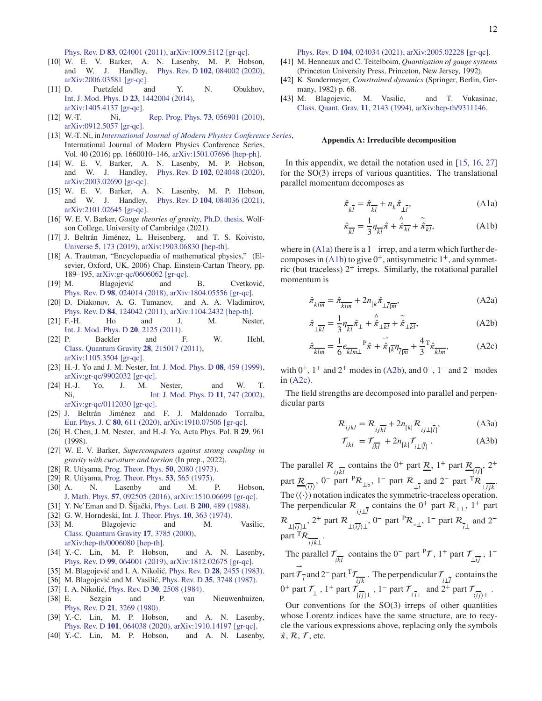Phys. Rev. D **83**[, 024001 \(2011\),](https://doi.org/10.1103/PhysRevD.83.024001) [arXiv:1009.5112 \[gr-qc\].](http://arxiv.org/abs/1009.5112)

- <span id="page-11-0"></span>[10] W. E. V. Barker, A. N. Lasenby, M. P. Hobson, and W. J. Handley, Phys. Rev. D **102**[, 084002 \(2020\),](https://doi.org/10.1103/PhysRevD.102.084002) [arXiv:2006.03581 \[gr-qc\].](http://arxiv.org/abs/2006.03581)
- <span id="page-11-1"></span>[11] D. Puetzfeld and Y. N. Obukhov, [Int. J. Mod. Phys. D](https://doi.org/10.1142/S0218271814420048) **23**, 1442004 (2014), [arXiv:1405.4137 \[gr-qc\].](http://arxiv.org/abs/1405.4137)
- [12] W.-T. Ni, [Rep. Prog. Phys.](https://doi.org/10.1088/0034-4885/73/5/056901) **73**, 056901 (2010), [arXiv:0912.5057 \[gr-qc\].](http://arxiv.org/abs/0912.5057)
- <span id="page-11-2"></span>[13] W.-T. Ni, in *[International Journal of Modern Physics Conference Series](https://doi.org/10.1142/S2010194516600107)*, International Journal of Modern Physics Conference Series, Vol. 40 (2016) pp. 1660010–146, [arXiv:1501.07696 \[hep-ph\].](http://arxiv.org/abs/1501.07696)
- <span id="page-11-3"></span>[14] W. E. V. Barker, A. N. Lasenby, M. P. Hobson, and W. J. Handley, Phys. Rev. D **102**[, 024048 \(2020\),](https://doi.org/10.1103/PhysRevD.102.024048) [arXiv:2003.02690 \[gr-qc\].](http://arxiv.org/abs/2003.02690)
- <span id="page-11-14"></span>[15] W. E. V. Barker, A. N. Lasenby, M. P. Hobson, and W. J. Handley, Phys. Rev. D **104**[, 084036 \(2021\),](https://doi.org/10.1103/PhysRevD.104.084036) [arXiv:2101.02645 \[gr-qc\].](http://arxiv.org/abs/2101.02645)
- <span id="page-11-4"></span>[16] W. E. V. Barker, *Gauge theories of gravity*, [Ph.D. thesis,](https://wevbarker.com/thesis.html) Wolfson College, University of Cambridge (2021).
- <span id="page-11-5"></span>[17] J. Beltrán Jiménez, L. Heisenberg, and T. S. Koivisto, Universe **5**[, 173 \(2019\),](https://doi.org/ 10.3390/universe5070173) [arXiv:1903.06830 \[hep-th\].](http://arxiv.org/abs/1903.06830)
- <span id="page-11-6"></span>[18] A. Trautman, "Encyclopaedia of mathematical physics," (Elsevier, Oxford, UK, 2006) Chap. Einstein-Cartan Theory, pp. 189–195, [arXiv:gr-qc/0606062 \[gr-qc\].](http://arxiv.org/abs/gr-qc/0606062)
- <span id="page-11-7"></span>[19] M. Blagojević and B. Cvetković, Phys. Rev. D **98**[, 024014 \(2018\),](https://doi.org/10.1103/PhysRevD.98.024014) [arXiv:1804.05556 \[gr-qc\].](http://arxiv.org/abs/1804.05556)
- [20] D. Diakonov, A. G. Tumanov, and A. A. Vladimirov, Phys. Rev. D **84**[, 124042 \(2011\),](https://doi.org/10.1103/PhysRevD.84.124042) [arXiv:1104.2432 \[hep-th\].](http://arxiv.org/abs/1104.2432)
- [21] F.-H. Ho and J. M. Nester, [Int. J. Mod. Phys. D](https://doi.org/10.1142/S0218271811020391) **20**, 2125 (2011).
- <span id="page-11-8"></span>[22] P. Baekler and F. W. Hehl, [Class. Quantum Gravity](https://doi.org/10.1088/0264-9381/28/21/215017) **28**, 215017 (2011), [arXiv:1105.3504 \[gr-qc\].](http://arxiv.org/abs/1105.3504)
- <span id="page-11-9"></span>[23] H.-J. Yo and J. M. Nester, [Int. J. Mod. Phys. D](https://doi.org/10.1142/S021827189900033X) **08**, 459 (1999), [arXiv:gr-qc/9902032 \[gr-qc\].](http://arxiv.org/abs/gr-qc/9902032)
- <span id="page-11-11"></span>[24] H.-J. Yo, J. M. Nester, and W. T. Ni, [Int. J. Mod. Phys. D](https://doi.org/10.1142/S0218271802001998) **11**, 747 (2002), [arXiv:gr-qc/0112030 \[gr-qc\].](http://arxiv.org/abs/gr-qc/0112030)
- <span id="page-11-10"></span>[25] J. Beltrán Jiménez and F. J. Maldonado Torralba, [Eur. Phys. J. C](https://doi.org/ 10.1140/epjc/s10052-020-8163-8) **80**, 611 (2020), [arXiv:1910.07506 \[gr-qc\].](http://arxiv.org/abs/1910.07506)
- <span id="page-11-12"></span>[26] H. Chen, J. M. Nester, and H.-J. Yo, Acta Phys. Pol. B **29**, 961 (1998).
- <span id="page-11-13"></span>[27] W. E. V. Barker, *Supercomputers against strong coupling in gravity with curvature and torsion* (In prep., 2022).
- <span id="page-11-15"></span>[28] R. Utiyama, [Prog. Theor. Phys.](https://doi.org/10.1143/PTP.50.2080) **50**, 2080 (1973).
- <span id="page-11-16"></span>[29] R. Utiyama, [Prog. Theor. Phys.](https://doi.org/10.1143/PTP.53.565) **53**, 565 (1975).
- <span id="page-11-17"></span>[30] A. N. Lasenby and M. P. Hobson, J. Math. Phys. **57**[, 092505 \(2016\),](https://doi.org/10.1063/1.4963143) [arXiv:1510.06699 \[gr-qc\].](http://arxiv.org/abs/1510.06699)
- <span id="page-11-18"></span>[31] Y. Ne'Eman and D. Šijački, [Phys. Lett. B](https://doi.org/10.1016/0370-2693(88)90157-8) **200**, 489 (1988).
- <span id="page-11-19"></span>[32] G. W. Horndeski, [Int. J. Theor. Phys.](https://doi.org/10.1007/BF01807638) **10**, 363 (1974). [33] M. Blagojevic and M. Vasilic,
- <span id="page-11-20"></span>[Class. Quantum Gravity](https://doi.org/10.1088/0264-9381/17/18/313) **17**, 3785 (2000), [arXiv:hep-th/0006080 \[hep-th\].](http://arxiv.org/abs/hep-th/0006080)
- <span id="page-11-22"></span>[34] Y.-C. Lin, M. P. Hobson, and A. N. Lasenby, Phys. Rev. D **99**[, 064001 \(2019\),](https://doi.org/10.1103/PhysRevD.99.064001) [arXiv:1812.02675 \[gr-qc\].](http://arxiv.org/abs/1812.02675)
- <span id="page-11-23"></span>[35] M. Blagojević and I. A. Nikolić, Phys. Rev. D **28**[, 2455 \(1983\).](https://doi.org/10.1103/PhysRevD.28.2455)
- <span id="page-11-24"></span>[36] M. Blagojević and M. Vasilić, Phys. Rev. D **35**[, 3748 \(1987\).](https://doi.org/10.1103/PhysRevD.35.3748)
- <span id="page-11-25"></span>[37] I. A. Nikolić, Phys. Rev. D **30**[, 2508 \(1984\).](https://doi.org/ 10.1103/PhysRevD.30.2508)
- <span id="page-11-26"></span>[38] E. Sezgin and P. van Nieuwenhuizen, Phys. Rev. D **21**[, 3269 \(1980\).](https://doi.org/10.1103/PhysRevD.21.3269)
- <span id="page-11-27"></span>[39] Y.-C. Lin, M. P. Hobson, and A. N. Lasenby, Phys. Rev. D **101**[, 064038 \(2020\),](https://doi.org/10.1103/PhysRevD.101.064038) [arXiv:1910.14197 \[gr-qc\].](http://arxiv.org/abs/1910.14197)
- <span id="page-11-28"></span>[40] Y.-C. Lin, M. P. Hobson, and A. N. Lasenby,

Phys. Rev. D **104**[, 024034 \(2021\),](https://doi.org/10.1103/PhysRevD.104.024034) [arXiv:2005.02228 \[gr-qc\].](http://arxiv.org/abs/2005.02228)

- <span id="page-11-33"></span>[41] M. Henneaux and C. Teitelboim, *Quantization of gauge systems* (Princeton University Press, Princeton, New Jersey, 1992).
- <span id="page-11-34"></span>[42] K. Sundermeyer, *Constrained dynamics* (Springer, Berlin, Germany, 1982) p. 68.
- <span id="page-11-35"></span>[43] M. Blagojevic, M. Vasilic, and T. Vukasinac, [Class. Quant. Grav.](https://doi.org/10.1088/0264-9381/11/9/002) **11**, 2143 (1994), [arXiv:hep-th/9311146.](http://arxiv.org/abs/hep-th/9311146)

#### <span id="page-11-21"></span>**Appendix A: Irreducible decomposition**

In this appendix, we detail the notation used in [\[15](#page-11-14), [16,](#page-11-4) [27\]](#page-11-13) for the SO(3) irreps of various quantities. The translational parallel momentum decomposes as

<span id="page-11-29"></span>
$$
\hat{\pi}_{k\bar{l}} = \hat{\pi}_{\overline{k}\bar{l}} + n_k \hat{\pi}_{\bot\bar{l}},
$$
\n(A1a)

<span id="page-11-30"></span>
$$
\hat{\pi}_{\overline{k}\overline{l}} = \frac{1}{3} \eta_{\overline{k}\overline{l}} \hat{\pi} + \hat{\hat{\pi}}_{\overline{k}\overline{l}} + \tilde{\hat{\pi}}_{\overline{k}\overline{l}}, \tag{A1b}
$$

where in  $(A1a)$  there is a 1<sup>-</sup> irrep, and a term which further decomposes in  $(A1b)$  to give  $0^+$ , antisymmetric  $1^+$ , and symmetric (but traceless) 2 <sup>+</sup> irreps. Similarly, the rotational parallel momentum is

*̂𝜋*

<span id="page-11-31"></span>
$$
\hat{\tau}_{kl\overline{m}} = \hat{\pi}_{\overline{klm}} + 2n_{[k}\hat{\pi}_{\bot \overline{l}]\overline{m}},\tag{A2a}
$$

$$
\hat{\pi}_{\perp\overline{k}\overline{l}} = \frac{1}{3} \eta_{\overline{k}\overline{l}} \hat{\pi}_{\perp} + \hat{\hat{\pi}}_{\perp\overline{k}\overline{l}} + \tilde{\hat{\pi}}_{\perp\overline{k}\overline{l}}, \tag{A2b}
$$

$$
\hat{\pi}_{\overline{\underline{k}\underline{l}\underline{m}}} = \frac{1}{6} \epsilon_{\overline{\underline{k}\underline{l}\underline{m}\underline{1}}} \mathbf{P}_{\hat{\pi}} + \dot{\hat{\pi}}_{\overline{\underline{l}\underline{k}}}\eta_{\overline{\underline{l}\underline{m}}} + \frac{4}{3} \mathbf{T} \hat{\pi}_{\overline{\underline{k}\underline{l}\underline{m}}},\tag{A2c}
$$

with  $0^+$ ,  $1^+$  and  $2^+$  modes in [\(A2b\)](#page-11-31), and  $0^-$ ,  $1^-$  and  $2^-$  modes in [\(A2c\)](#page-11-32).

The field strengths are decomposed into parallel and perpendicular parts

<span id="page-11-32"></span>
$$
\mathcal{R}_{ijkl} = \mathcal{R}_{ijkl} + 2n_{[k]}\mathcal{R}_{ij\perp|\overline{l}|}, \tag{A3a}
$$

$$
\mathcal{T}_{ikl} = \mathcal{T}_{i\overline{kl}} + 2n_{[k]}\mathcal{T}_{i\perp|\overline{l}|}.
$$
 (A3b)

The parallel  $\mathcal{R}_{ij\overline{k}l}$  contains the 0<sup>+</sup> part <u> $\mathcal{R}_{j}$ </u>, 1<sup>+</sup> part  $\underline{\mathcal{R}}_{[ij]}$ , 2<sup>+</sup> part  $\overline{\mathcal{R}}$  $\frac{\overline{\langle ij \rangle}}{\langle ij \rangle}$ , 0<sup>-</sup> part <sup>P</sup>R<sub>⊥</sub><sub>o</sub>, 1<sup>-</sup> part R<sub>⊥</sub> and 2<sup>-</sup> part <sup>T</sup>R<sub>⊥*ijk*</sub>. The  $(\langle \cdot \rangle)$  notation indicates the symmetric-traceless operation. The perpendicular  $\mathcal{R}_{ij\perp i}$  contains the 0<sup>+</sup> part  $\mathcal{R}_{\perp\perp}$ , 1<sup>+</sup> part  $\mathcal{R}_{\perp[\overline{i} j]\perp}$ , 2<sup>+</sup> part  $\mathcal{R}_{\perp\langle\overline{i} j\rangle\perp}$ , 0<sup>-</sup> part  $\mathcal{R}_{\circ\perp}$ , 1<sup>-</sup> part  $\mathcal{R}_{\overline{i}\perp}$  and 2<sup>-</sup> part  ${}^{T}R_{\overline{\scriptstyle{ijk\perp}}}.$ 

The parallel  $\mathcal{T}_{ikl}$  contains the 0<sup>-</sup> part <sup>P</sup> $\mathcal{T}$ , 1<sup>+</sup> part  $\mathcal{T}_{\perp ij}$ , 1<sup>-</sup> ⇀

part  $\mathcal{T}^-_i$  and 2<sup>-</sup> part <sup>T</sup> $\mathcal{T}$  $\frac{\epsilon}{ijk}$ . The perpendicular  $\mathcal{T}_{i\perp i}$  contains the  $0^+$  part  $\mathcal{T}_{\perp}$ ,  $1^+$  part  $\mathcal{T}_{\overline{\lfloor ij \rfloor \perp}}$ ,  $1^-$  part  $\mathcal{T}_{\perp i\perp}$  and  $2^+$  part  $\mathcal{T}_{\overline{\lfloor ij \rfloor \perp}}$ .

Our conventions for the  $SO(3)$  irreps of other quantities whose Lorentz indices have the same structure, are to recycle the various expressions above, replacing only the symbols  $\hat{\pi}$ ,  $\mathcal{R}$ ,  $\mathcal{T}$ , etc.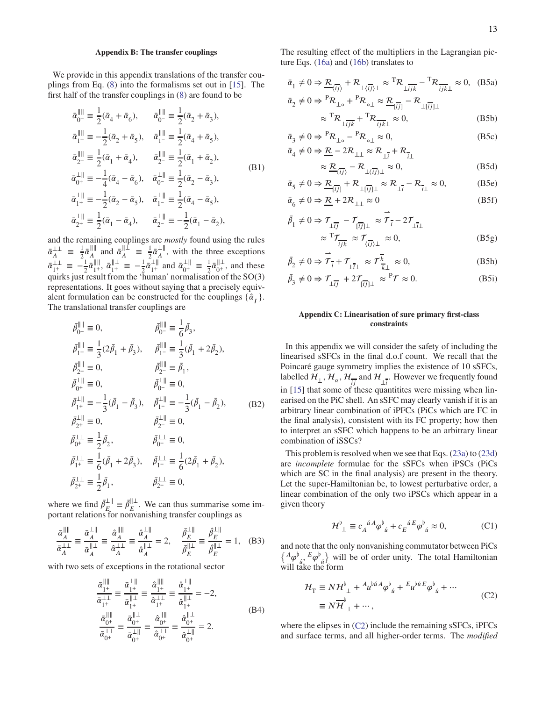## <span id="page-12-0"></span>**Appendix B: The transfer couplings**

We provide in this appendix translations of the transfer couplings from Eq. [\(8\)](#page-2-3) into the formalisms set out in [\[15](#page-11-14)]. The first half of the transfer couplings in [\(8\)](#page-2-3) are found to be

$$
\begin{aligned}\n\bar{\alpha}_{0^+}^{\parallel\parallel} & \equiv \frac{1}{2}(\bar{\alpha}_4 + \bar{\alpha}_6), \qquad \bar{\alpha}_{0^-}^{\parallel\parallel} \equiv \frac{1}{2}(\bar{\alpha}_2 + \bar{\alpha}_3), \\
\bar{\alpha}_{1^+}^{\parallel\parallel} & \equiv -\frac{1}{2}(\bar{\alpha}_2 + \bar{\alpha}_5), \quad \bar{\alpha}_{1^-}^{\parallel\parallel} \equiv \frac{1}{2}(\bar{\alpha}_4 + \bar{\alpha}_5), \\
\bar{\alpha}_{2^+}^{\parallel\parallel} & \equiv \frac{1}{2}(\bar{\alpha}_1 + \bar{\alpha}_4), \qquad \bar{\alpha}_{2^-}^{\parallel\parallel} \equiv \frac{1}{2}(\bar{\alpha}_1 + \bar{\alpha}_2), \\
\bar{\alpha}_{0^+}^{\perp\parallel} & \equiv -\frac{1}{4}(\bar{\alpha}_4 - \bar{\alpha}_6), \quad \bar{\alpha}_{0^-}^{\perp\parallel} \equiv \frac{1}{2}(\bar{\alpha}_2 - \bar{\alpha}_3), \\
\bar{\alpha}_{1^+}^{\perp\parallel} & \equiv -\frac{1}{2}(\bar{\alpha}_2 - \bar{\alpha}_5), \quad \bar{\alpha}_{1^-}^{\perp\parallel} \equiv \frac{1}{2}(\bar{\alpha}_4 - \bar{\alpha}_5), \\
\bar{\alpha}_{2^+}^{\perp\parallel} & \equiv \frac{1}{2}(\bar{\alpha}_1 - \bar{\alpha}_4), \qquad \bar{\alpha}_{2^-}^{\perp\parallel} \equiv -\frac{1}{2}(\bar{\alpha}_1 - \bar{\alpha}_2),\n\end{aligned} \tag{B1}
$$

and the remaining couplings are *mostly* found using the rules  $\bar{\alpha}^{\perp\perp}_{\scriptscriptstyle{A}}$  $\frac{11}{A} \equiv \frac{1}{2}$  $\frac{1}{2}\bar{\alpha}_{A}^{\parallel\parallel}$  $\frac{\|\cdot\|}{A}$  and  $\bar{\alpha}^{\|\cdot\|}_{A}$  $\frac{\parallel\perp}{A} \equiv \frac{1}{2}$  $rac{1}{2}\bar{\alpha}_A^{\perp\parallel}$  $_{A}^{\perp \parallel}$ , with the three exceptions  $\bar{\alpha}_{1^+}^{\perp\perp} \equiv -\frac{1}{2}$  $\frac{1}{2}\bar{\alpha}_{1+}^{\parallel\parallel}$  $\frac{\| \cdot \|}{1^+}, \ \bar{\alpha} \|^{\perp}_{1^+} \equiv -\frac{1}{2}$  $rac{1}{2}\overline{\alpha}_{1+}^{\perp}$  $\frac{1}{1^+}$  and  $\bar{\alpha}_{0^+}^{\perp \parallel} \equiv \frac{1}{2}$  $\frac{1}{2}\bar{\alpha}_{0^+}^{\parallel\perp}$  $\mathbf{0}^{\parallel \perp}$ , and these quirks just result from the 'human' normalisation of the SO(3) representations. It goes without saying that a precisely equivalent formulation can be constructed for the couplings  $\{\hat{\alpha}_I\}$ . The translational transfer couplings are

$$
\begin{aligned}\n\bar{\beta}_{0^+}^{\parallel\parallel} &\equiv 0, &\quad \bar{\beta}_{0^-}^{\parallel\parallel} &\equiv \frac{1}{6} \bar{\beta}_3, \\
\bar{\beta}_{1^+}^{\parallel\parallel} &\equiv \frac{1}{3} (2 \bar{\beta}_1 + \bar{\beta}_3), &\quad \bar{\beta}_{1^-}^{\parallel\parallel} &\equiv \frac{1}{3} (\bar{\beta}_1 + 2 \bar{\beta}_2), \\
\bar{\beta}_{2^+}^{\parallel\parallel} &\equiv 0, &\quad \bar{\beta}_{2^-}^{\parallel\parallel} &\equiv \bar{\beta}_1, \\
\bar{\beta}_{0^+}^{\perp\parallel} &\equiv 0, &\quad \bar{\beta}_{0^-}^{\perp\parallel} &\equiv 0, \\
\bar{\beta}_{1^+}^{\perp\parallel} &\equiv -\frac{1}{3} (\bar{\beta}_1 - \bar{\beta}_3), &\quad \bar{\beta}_{1^-}^{\perp\parallel} &\equiv -\frac{1}{3} (\bar{\beta}_1 - \bar{\beta}_2), \\
\bar{\beta}_{2^+}^{\perp\parallel} &\equiv 0, &\quad \bar{\beta}_{2^-}^{\perp\parallel} &\equiv 0, \\
\bar{\beta}_{0^+}^{\perp\perp} &\equiv \frac{1}{2} \bar{\beta}_2, &\quad \bar{\beta}_{0^-}^{\perp\perp} &\equiv 0, \\
\bar{\beta}_{1^+}^{\perp\perp} &\equiv \frac{1}{6} (\bar{\beta}_1 + 2 \bar{\beta}_3), &\quad \bar{\beta}_{1^-}^{\perp\perp} &\equiv \frac{1}{6} (2 \bar{\beta}_1 + \bar{\beta}_2), \\
\bar{\beta}_{2^+}^{\perp\perp} &\equiv \frac{1}{2} \bar{\beta}_1, &\quad \bar{\beta}_{2^-}^{\perp\perp} &\equiv 0,\n\end{aligned} \label{eq:3}
$$

where we find  $\bar{\beta}_{F}^{\perp \parallel}$  $\bar{E}_{E}^{\perp \parallel} \equiv \bar{\beta}_{E}^{\parallel \perp}$  $E^{\parallel \perp}$ . We can thus summarise some important relations for nonvanishing transfer couplings as

$$
\frac{\bar{\alpha}_A^{\|\|}}{\bar{\alpha}_A^{\|\bot}} \equiv \frac{\bar{\alpha}_A^{\|\bot\|}}{\bar{\alpha}_A^{\|\bot}} \equiv \frac{\hat{\alpha}_A^{\|\||}}{\hat{\alpha}_A^{\|\bot}} \equiv \frac{\hat{\alpha}_A^{\|\bot\|}}{\hat{\alpha}_A^{\|\bot}} = 2, \quad \frac{\bar{\beta}_E^{\|\bot\|}}{\bar{\beta}_E^{\|\bot}} \equiv \frac{\hat{\beta}_E^{\|\bot\|}}{\hat{\beta}_E^{\|\bot}} = 1, \quad (B3)
$$

with two sets of exceptions in the rotational sector

$$
\frac{\bar{\alpha}_{1^{+}}^{\parallel\parallel}}{\bar{\alpha}_{1^{+}}^{\perp\perp}} \equiv \frac{\bar{\alpha}_{1^{+}}^{\perp\parallel}}{\bar{\alpha}_{1^{+}}^{\parallel\perp}} \equiv \frac{\hat{\alpha}_{1^{+}}^{\parallel\parallel}}{\hat{\alpha}_{1^{+}}^{\perp\perp}} \equiv \frac{\hat{\alpha}_{1^{+}}^{\perp\parallel}}{\hat{\alpha}_{1^{+}}^{\parallel\perp}} = \frac{\hat{\alpha}_{1^{+}}^{\parallel\parallel}}{\hat{\alpha}_{1^{+}}^{\parallel\perp}} = -2,
$$
\n
$$
\frac{\bar{\alpha}_{0^{+}}^{\parallel\parallel}}{\bar{\alpha}_{0^{+}}^{\perp\perp}} \equiv \frac{\hat{\alpha}_{0^{+}}^{\parallel\parallel}}{\hat{\alpha}_{0^{+}}^{\perp\perp}} \equiv \frac{\hat{\alpha}_{0^{+}}^{\parallel\perp}}{\hat{\alpha}_{0^{+}}^{\perp\perp}} = \frac{\hat{\alpha}_{0^{+}}^{\parallel\perp}}{\hat{\alpha}_{0^{+}}^{\perp\parallel}} = 2.
$$
\n(B4)

The resulting effect of the multipliers in the Lagrangian picture Eqs. [\(16a\)](#page-3-7) and [\(16b\)](#page-3-8) translates to

$$
\bar{\alpha}_{1} \neq 0 \Rightarrow \underline{R}_{\langle i j \rangle} + \underline{R}_{\perp \langle i j \rangle \perp} \approx {}^{T}R_{\perp \overline{i} j k} - {}^{T}R_{\overline{i} j k} \approx 0, \quad (B5a)
$$
  

$$
\bar{\alpha}_{2} \neq 0 \Rightarrow {}^{P}R_{\perp o} + {}^{P}R_{o\perp} \approx \underline{R}_{\overline{i} j j} - R_{\perp \overline{i} j j \perp}
$$
  

$$
\approx {}^{T}R_{\perp \overline{i} j k} + {}^{T}R_{\overline{i} j k \perp} \approx 0, \quad (B5b)
$$

$$
\bar{\alpha}_3 \neq 0 \Rightarrow {}^{P}R_{\perp \circ} - {}^{P}R_{\circ \perp} \approx 0,
$$
\n
$$
\bar{\alpha}_4 \neq 0 \Rightarrow R - 2R_{\perp \perp} \approx R_{\perp \perp} + R_{\perp}.
$$
\n(B5c)

$$
\psi \neq 0 \Rightarrow \underline{\mathcal{R}} - 2\mathcal{R}_{\perp\perp} \approx \mathcal{R}_{\perp\overline{i}} + \mathcal{R}_{\overline{i}\perp}
$$
  
 
$$
\approx \underline{\mathcal{R}}_{\overline{i}} - \mathcal{R}_{\overline{i}} \approx 0, \tag{B5c}
$$

$$
\approx \underbrace{\mathcal{R}}_{\langle \overline{\imath j} \rangle} - \mathcal{R}_{\perp \langle \overline{\imath j} \rangle \perp} \approx 0, \tag{B5d}
$$
\n
$$
\bar{\alpha}_{5} \neq 0 \Rightarrow \underbrace{\mathcal{R}_{\square \overline{\imath j}}}_{\langle \overline{\imath j} \rangle \perp} + \mathcal{R}_{\perp \overline{\imath j} \parallel \perp} \approx \mathcal{R}_{\perp \overline{\imath}} - \mathcal{R}_{\overline{\imath} \perp} \approx 0, \tag{B5e}
$$

$$
\bar{\alpha}_6 \neq 0 \Rightarrow \underline{\mathcal{R}} + 2\mathcal{R}_{\perp\perp} \approx 0 \tag{B5f}
$$

$$
\bar{\beta}_1 \neq 0 \Rightarrow \mathcal{T}_{\frac{1}{2}} - \mathcal{T}_{\frac{1}{2}} \approx \vec{\mathcal{T}}_{\vec{i}} - 2\mathcal{T}_{\frac{1}{2}} \n\approx \mathcal{T}_{\mathcal{T}_{ijk}} \approx \mathcal{T}_{\frac{1}{\langle i \rangle} \perp} \approx 0,
$$
\n(B5g)

$$
\bar{\beta}_2 \neq 0 \Rightarrow \vec{\mathcal{T}}_{\bar{i}} + \mathcal{T}_{\underline{i}i\bot} \approx \mathcal{T}_{\overline{k}\bot}^{\overline{k}} \approx 0, \tag{B5h}
$$

$$
\bar{\beta}_3 \neq 0 \Rightarrow \mathcal{T}_{\perp ij} + 2\mathcal{T}_{\overline{[ij]}\perp} \approx {}^{\mathbf{P}}\mathcal{T} \approx 0.
$$
 (B5i)

## <span id="page-12-5"></span><span id="page-12-3"></span>**Appendix C: Linearisation of sure primary first-class constraints**

<span id="page-12-4"></span>In this appendix we will consider the safety of including the linearised sSFCs in the final d.o.f count. We recall that the Poincaré gauge symmetry implies the existence of 10 sSFCs, labelled  $\mathcal{H}_{\perp}$ ,  $\mathcal{H}_{\alpha}$ ,  $\mathcal{H}_{\frac{1}{ij}}$  and  $\mathcal{H}_{\frac{1}{1}}$ . However we frequently found in [\[15\]](#page-11-14) that some of these quantitites were missing when linearised on the PiC shell. An sSFC may clearly vanish if it is an arbitrary linear combination of iPFCs (PiCs which are FC in the final analysis), consistent with its FC property; how then to interpret an sSFC which happens to be an arbitrary linear combination of iSSCs?

This problem is resolved when we see that Eqs. [\(23a\)](#page-4-5) to [\(23d\)](#page-4-8) are *incomplete* formulae for the sSFCs when iPSCs (PiCs which are SC in the final analysis) are present in the theory. Let the super-Hamiltonian be, to lowest perturbative order, a linear combination of the only two iPSCs which appear in a given theory

<span id="page-12-7"></span>
$$
\mathcal{H}^{\flat}_{\perp} \equiv c_A^{\ \hat{u}A}\varphi^{\flat}_{\ \hat{u}} + c_E^{\ \hat{u}E}\varphi^{\flat}_{\ \hat{u}} \approx 0, \tag{C1}
$$

<span id="page-12-2"></span><span id="page-12-1"></span>and note that the only nonvanishing commutator between PiCs  $\left\{\begin{array}{c} A_{\phi}^{\flat} \phi_{\mu}^{\flat} \neq \phi_{\mu}^{\flat} \end{array}\right\}$  will be of order unity. The total Hamiltonian will take the form

<span id="page-12-6"></span>
$$
\mathcal{H}_{\mathbf{T}} \equiv N \mathcal{H}_{\perp}^{\flat} + {}^{A}u^{\flat \acute{u}A} \boldsymbol{\varphi}_{\acute{u}}^{\flat} + {}^{E}u^{\flat \acute{u}E} \boldsymbol{\varphi}_{\acute{u}}^{\flat} + \cdots
$$
\n
$$
\equiv N \overline{\mathcal{H}}_{\perp}^{\flat} + \cdots, \tag{C2}
$$

where the elipses in  $(C2)$  include the remaining sSFCs, iPFCs and surface terms, and all higher-order terms. The *modified*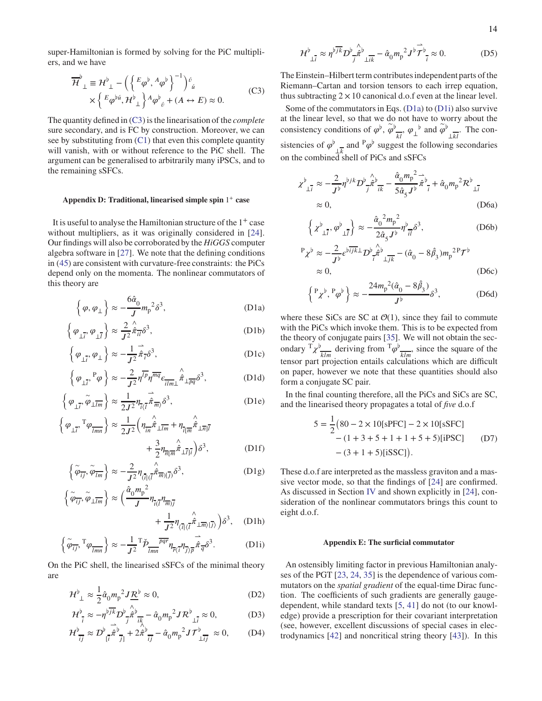super-Hamiltonian is formed by solving for the PiC multipliers, and we have

<span id="page-13-11"></span>
$$
\overline{\mathcal{H}}^{\flat}_{\perp} \equiv \mathcal{H}^{\flat}_{\perp} - \left( \left\{ {}^{E} \varphi^{\flat}, {}^{A} \varphi^{\flat} \right\}^{-1} \right)^{\check{\sigma}}_{\check{u}} \times \left\{ {}^{E} \varphi^{\flat \check{u}}, \mathcal{H}^{\flat}_{\perp} \right\} {}^{A} \varphi^{\flat}_{\check{\sigma}} + (A \leftrightarrow E) \approx 0.
$$
\n(C3)

The quantity defined in [\(C3\)](#page-13-11) is the linearisation of the *complete* sure secondary, and is FC by construction. Moreover, we can see by substituting from [\(C1\)](#page-12-7) that even this complete quantity will vanish, with or without reference to the PiC shell. The argument can be generalised to arbitrarily many iPSCs, and to the remaining sSFCs.

## <span id="page-13-0"></span>**Appendix D: Traditional, linearised simple spin** 1 + **case**

It is useful to analyse the Hamiltonian structure of the 1<sup>+</sup> case without multipliers, as it was originally considered in [\[24](#page-11-11)]. Our findings will also be corroborated by the *HiGGS* computer algebra software in [\[27\]](#page-11-13). We note that the defining conditions in [\(45\)](#page-6-3) are consistent with curvature-free constraints: the PiCs depend only on the momenta. The nonlinear commutators of this theory are

$$
\left\{\varphi,\varphi_{\perp}\right\} \approx -\frac{6\hat{\alpha}_0}{J}m_{\rm p}^2\delta^3,\tag{D1a}
$$

$$
\left\{ \varphi_{\perp \overline{l}}, \varphi_{\perp \overline{l}} \right\} \approx \frac{2}{J^2} \hat{\pi}_{\overline{l} \overline{l}} \delta^3, \tag{D1b}
$$

$$
\left\{ \varphi_{\perp \vec{i}}, \varphi_{\perp} \right\} \approx -\frac{1}{J^2} \dot{\vec{\pi}}_{\vec{i}} \delta^3, \tag{D1c}
$$

$$
\left\{\varphi_{\perp i}, {}^{P}\varphi\right\} \approx -\frac{2}{J^2} \eta^{\overline{lp}} \eta^{\overline{mq}} \epsilon_{\overline{ilm} \perp} \hat{\pi}_{\perp \overline{pq}} \delta^3, \tag{D1d}
$$

$$
\left\{ \varphi_{\perp \overline{i}}, \widetilde{\varphi}_{\perp \overline{l}m} \right\} \approx \frac{1}{2J^2} \eta_{\overline{i} \langle \overline{l}} \dot{\overline{\pi}}_{\overline{m} \rangle} \delta^3, \tag{D1e}
$$

$$
\left\{\varphi_{\perp i}, {}^{T}\varphi_{\overline{lmn}}\right\} \approx \frac{1}{2J^{2}} \left(\eta_{\overline{in}} \hat{\pi}_{\perp \overline{lm}} + \eta_{\overline{i} \overline{lm}} \hat{\pi}_{\perp \overline{n} \overline{l}} + \frac{3}{2} \eta_{\overline{n} \overline{l} \overline{m}} \hat{\pi}_{\perp \overline{l} \overline{l}}\right) \delta^{3},
$$
 (D1f)

$$
\left\{ \tilde{\varphi}_{\overline{i}j}, \tilde{\varphi}_{\overline{lm}} \right\} \approx -\frac{2}{J^2} \eta_{(\overline{i}|(\overline{l}} \hat{\pi}_{\overline{m})|\overline{j})} \delta^3, \tag{D1g}
$$

$$
\left\{\tilde{\varphi}_{\overline{i}\overline{j}}, \tilde{\varphi}_{\perp \overline{l}m}\right\} \approx \left(\frac{\hat{\alpha}_0 m_p^2}{J} \eta_{\overline{i}(\overline{l}} \eta_{\overline{m})\overline{j}} + \frac{1}{J^2} \eta_{\langle \overline{i} | \langle \overline{l}} \hat{\hat{\pi}}_{\perp \overline{m} \rangle | \overline{j} \rangle}\right) \delta^3, \quad \text{(D1h)}
$$

$$
\left\{\tilde{\varphi}_{\overline{ij}}, {}^{T}\varphi_{\overline{lmn}}\right\} \approx -\frac{1}{J^{2}} {}^{T}\check{\mathcal{P}}_{\overline{lmn}} \overline{p\pi} \eta_{\overline{r}\langle\overline{i}} \eta_{\overline{j}\rangle\overline{p}} \hat{\pi}_{\overline{q}} \delta^{3}.
$$
 (D1i)

On the PiC shell, the linearised sSFCs of the minimal theory are

$$
\mathcal{H}^{\flat}_{\perp} \approx \frac{1}{2} \hat{\alpha}_0 m_p^2 J \underline{\mathcal{R}}^{\flat} \approx 0,
$$
 (D2)

$$
\mathcal{H}_{\overline{i}}^{\flat} \approx -\eta^{\flat} \overline{\mathcal{H}} \mathcal{D}^{\flat} \hat{\pi}^{\flat} \frac{\lambda}{\mathcal{H}} - \hat{\alpha}_0 m_p^2 \mathcal{J} \mathcal{R}^{\flat} \frac{\lambda}{\mathcal{H}} \approx 0, \tag{D3}
$$

$$
\mathcal{H}_{\overline{i}j}^{\flat} \approx \mathcal{D}_{\overline{i}}^{\flat} \hat{\pi}_{\overline{j}}^{\flat} + 2 \hat{\pi}_{\overline{i}j}^{\flat} - \hat{\alpha}_0 m_p^2 J \mathcal{T}_{\perp \overline{i}j}^{\flat} \approx 0, \quad (D4)
$$

$$
\mathcal{H}^{\flat}_{\perp \overline{i}} \approx \eta^{\flat \overline{j k}} D^{\flat}_{\overline{j}} \hat{\pi}^{\flat}_{\perp \overline{i k}} - \hat{\alpha}_0 m_p^2 J^{\flat} \overline{\mathcal{T}}^{\flat}_{\overline{i}} \approx 0. \tag{D5}
$$

The Einstein–Hilbert term contributes independent parts of the Riemann–Cartan and torsion tensors to each irrep equation, thus subtracting  $2 \times 10$  canonical d.o.f even at the linear level.

Some of the commutators in Eqs. [\(D1a\)](#page-13-2) to [\(D1i\)](#page-13-3) also survive at the linear level, so that we do not have to worry about the consistency conditions of  $\varphi^{\flat}$ ,  $\varphi^{\flat}$   $\vdots$ ,  $\varphi^{\flat}$  and  $\varphi^{\flat}$  $kl$  $\frac{1}{\sqrt{kl}}$ . The consistencies of  $\varphi^{\flat}$  $\frac{1}{4k}$  and <sup>P</sup> $\varphi^{\flat}$  suggest the following secondaries on the combined shell of PiCs and sSFCs

$$
\chi^{\flat}_{\perp \overline{i}} \approx -\frac{2}{J^{\flat}} \eta^{\flat jk} D^{\flat}_{\overline{j}} \hat{\pi}^{\flat}_{\overline{ik}} - \frac{\hat{\alpha}_0 m_p^2}{5 \hat{\alpha}_5 J^{\flat}} \hat{\pi}^{\flat}_{\overline{i}} + \hat{\alpha}_0 m_p^2 \mathcal{R}^{\flat}_{\perp \overline{i}}
$$
  
 
$$
\approx 0, \qquad (D6a)
$$

$$
\left\{\chi^{\flat}_{\perp\overline{i}},\varphi^{\flat}_{\perp\overline{l}}\right\} \approx -\frac{\hat{\alpha}_0^2 m_p^2}{2\hat{\alpha}_5 J^{\flat}} \eta^{\flat}_{\overline{i}\overline{l}} \delta^3, \tag{D6b}
$$

$$
P_{\chi}^{\flat} \approx -\frac{2}{J^{\flat}} \epsilon^{\flat} \overline{i j k}^{\bot} D^{\flat} \overline{j k}^{\flat} \overline{k}^{\flat} - (\hat{\alpha}_{0} - 8\hat{\beta}_{3}) m_{p}^{2} P \mathcal{T}^{\flat}
$$
  
 
$$
\approx 0, \qquad (D6c)
$$

$$
\left\{{}^P\chi^{\flat}, {}^P\varphi^{\flat}\right\} \approx -\frac{24m_p{}^2(\hat{\alpha}_0 - 8\hat{\beta}_3)}{J^{\flat}}\delta^3, \tag{D6d}
$$

<span id="page-13-10"></span><span id="page-13-4"></span><span id="page-13-2"></span>where these SiCs are SC at  $\mathcal{O}(1)$ , since they fail to commute with the PiCs which invoke them. This is to be expected from the theory of conjugate pairs [\[35\]](#page-11-23). We will not obtain the secondary  $T_\chi^{\{b\}}$  $\frac{d}{dt}$  deriving from  $\frac{T\varphi^{\flat}}{dt}$  $\frac{k}{m}$ , since the square of the tensor part projection entails calculations which are difficult on paper, however we note that these quantities should also form a conjugate SC pair.

<span id="page-13-7"></span><span id="page-13-5"></span>In the final counting therefore, all the PiCs and SiCs are SC, and the linearised theory propagates a total of *five* d.o.f

$$
5 = \frac{1}{2} (80 - 2 \times 10 \text{ [sPFC]} - 2 \times 10 \text{ [sSFC]} - (1 + 3 + 5 + 1 + 1 + 5 + 5) \text{ [iPSC]} \tag{D7}
$$

$$
- (3 + 1 + 5) \text{ [iSSC]}.
$$

<span id="page-13-9"></span><span id="page-13-8"></span><span id="page-13-6"></span>These d.o.f are interpreted as the massless graviton and a massive vector mode, so that the findings of [\[24](#page-11-11)] are confirmed. As discussed in Section [IV](#page-6-1) and shown explicitly in [\[24](#page-11-11)], consideration of the nonlinear commutators brings this count to eight d.o.f.

#### <span id="page-13-1"></span>**Appendix E: The surficial commutator**

<span id="page-13-3"></span>An ostensibly limiting factor in previous Hamiltonian analyses of the PGT [\[23](#page-11-9), [24,](#page-11-11) [35\]](#page-11-23) is the dependence of various commutators on the *spatial gradient* of the equal-time Dirac function. The coefficients of such gradients are generally gaugedependent, while standard texts [\[5,](#page-10-6) [41\]](#page-11-33) do not (to our knowledge) provide a prescription for their covariant interpretation (see, however, excellent discussions of special cases in electrodynamics [\[42\]](#page-11-34) and noncritical string theory [\[43\]](#page-11-35)). In this